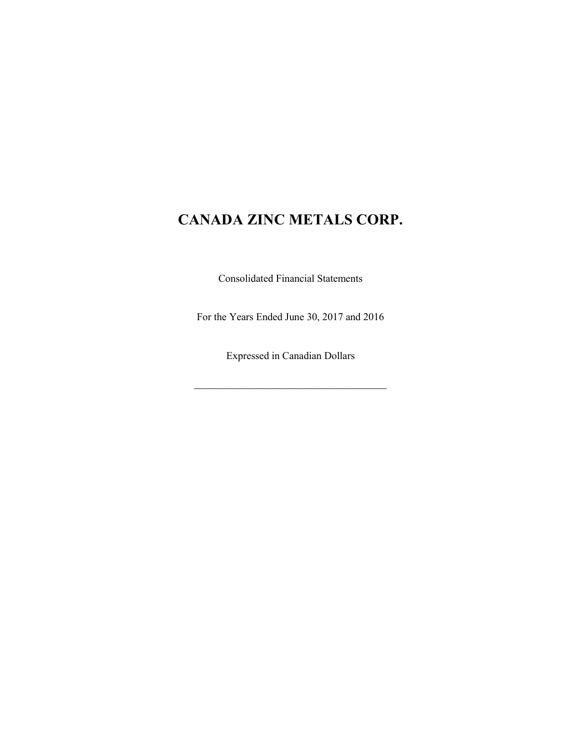Consolidated Financial Statements

For the Years Ended June 30, 2017 and 2016

Expressed in Canadian Dollars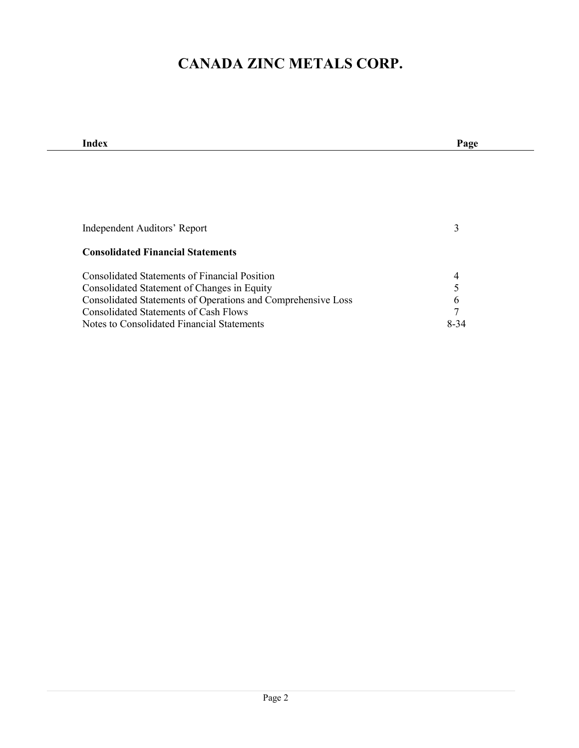| <b>Index</b>                                                 | Page   |
|--------------------------------------------------------------|--------|
|                                                              |        |
|                                                              |        |
|                                                              |        |
|                                                              |        |
|                                                              |        |
| Independent Auditors' Report                                 | 3      |
|                                                              |        |
| <b>Consolidated Financial Statements</b>                     |        |
| <b>Consolidated Statements of Financial Position</b>         | 4      |
| Consolidated Statement of Changes in Equity                  |        |
| Consolidated Statements of Operations and Comprehensive Loss | 6      |
| <b>Consolidated Statements of Cash Flows</b>                 |        |
| Notes to Consolidated Financial Statements                   | $8-34$ |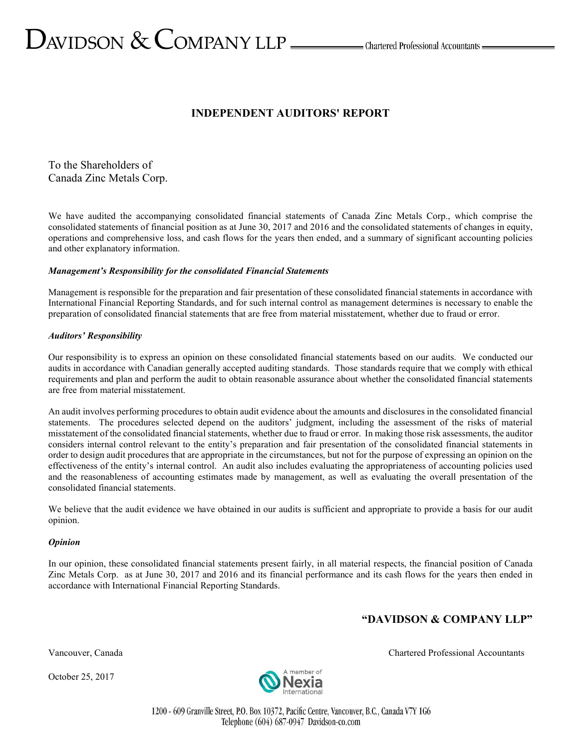# $D$ AVIDSON  $\&$  COMPANY LLP  $\_\_\_\_\$ Chartered Professional Accountants =

### INDEPENDENT AUDITORS' REPORT

To the Shareholders of Canada Zinc Metals Corp.

We have audited the accompanying consolidated financial statements of Canada Zinc Metals Corp., which comprise the consolidated statements of financial position as at June 30, 2017 and 2016 and the consolidated statements of changes in equity, operations and comprehensive loss, and cash flows for the years then ended, and a summary of significant accounting policies and other explanatory information.

#### Management's Responsibility for the consolidated Financial Statements

Management is responsible for the preparation and fair presentation of these consolidated financial statements in accordance with International Financial Reporting Standards, and for such internal control as management determines is necessary to enable the preparation of consolidated financial statements that are free from material misstatement, whether due to fraud or error.

#### Auditors' Responsibility

Our responsibility is to express an opinion on these consolidated financial statements based on our audits. We conducted our audits in accordance with Canadian generally accepted auditing standards. Those standards require that we comply with ethical requirements and plan and perform the audit to obtain reasonable assurance about whether the consolidated financial statements are free from material misstatement.

An audit involves performing procedures to obtain audit evidence about the amounts and disclosures in the consolidated financial statements. The procedures selected depend on the auditors' judgment, including the assessment of the risks of material misstatement of the consolidated financial statements, whether due to fraud or error. In making those risk assessments, the auditor considers internal control relevant to the entity's preparation and fair presentation of the consolidated financial statements in order to design audit procedures that are appropriate in the circumstances, but not for the purpose of expressing an opinion on the effectiveness of the entity's internal control. An audit also includes evaluating the appropriateness of accounting policies used and the reasonableness of accounting estimates made by management, as well as evaluating the overall presentation of the consolidated financial statements.

We believe that the audit evidence we have obtained in our audits is sufficient and appropriate to provide a basis for our audit opinion.

#### **Opinion**

In our opinion, these consolidated financial statements present fairly, in all material respects, the financial position of Canada Zinc Metals Corp. as at June 30, 2017 and 2016 and its financial performance and its cash flows for the years then ended in accordance with International Financial Reporting Standards.

### "DAVIDSON & COMPANY LLP"

October 25, 2017



Vancouver, Canada Chartered Professional Accountants

1200 - 609 Granville Street, P.O. Box 10372, Pacific Centre, Vancouver, B.C., Canada V7Y 1G6 Telephone (604) 687-0947 Davidson-co.com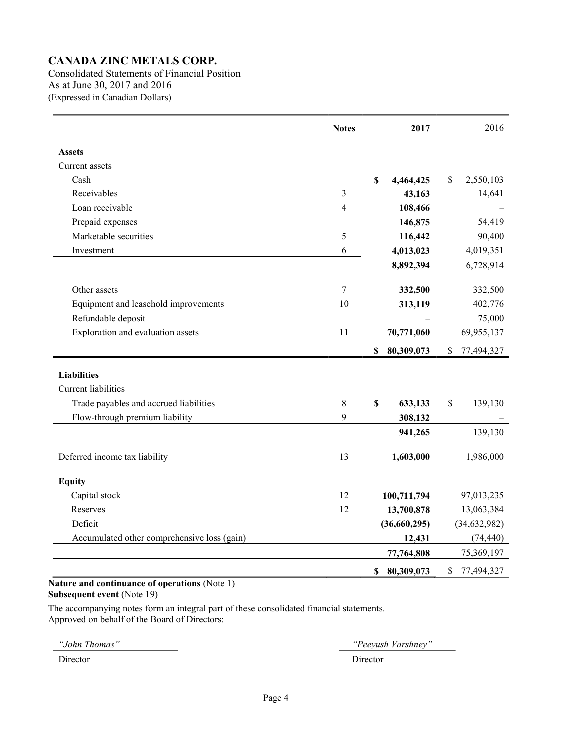Consolidated Statements of Financial Position As at June 30, 2017 and 2016 (Expressed in Canadian Dollars)

|                                             | <b>Notes</b> | 2017                                    | 2016             |
|---------------------------------------------|--------------|-----------------------------------------|------------------|
| <b>Assets</b>                               |              |                                         |                  |
| Current assets                              |              |                                         |                  |
| Cash                                        |              | \$<br>4,464,425                         | \$<br>2,550,103  |
| Receivables                                 | 3            | 43,163                                  | 14,641           |
| Loan receivable                             | 4            | 108,466                                 |                  |
| Prepaid expenses                            |              | 146,875                                 | 54,419           |
| Marketable securities                       | 5            | 116,442                                 | 90,400           |
| Investment                                  | 6            | 4,013,023                               | 4,019,351        |
|                                             |              | 8,892,394                               | 6,728,914        |
| Other assets                                | 7            | 332,500                                 | 332,500          |
| Equipment and leasehold improvements        | 10           | 313,119                                 | 402,776          |
| Refundable deposit                          |              |                                         | 75,000           |
| Exploration and evaluation assets           | 11           | 70,771,060                              | 69,955,137       |
|                                             |              | $\boldsymbol{\mathsf{S}}$<br>80,309,073 | \$<br>77,494,327 |
| <b>Liabilities</b>                          |              |                                         |                  |
| <b>Current</b> liabilities                  |              |                                         |                  |
| Trade payables and accrued liabilities      | 8            | $\mathbf S$<br>633,133                  | \$<br>139,130    |
| Flow-through premium liability              | 9            | 308,132                                 |                  |
|                                             |              | 941,265                                 | 139,130          |
| Deferred income tax liability               | 13           | 1,603,000                               | 1,986,000        |
| <b>Equity</b>                               |              |                                         |                  |
| Capital stock                               | 12           | 100,711,794                             | 97,013,235       |
| Reserves                                    | 12           | 13,700,878                              | 13,063,384       |
| Deficit                                     |              | (36,660,295)                            | (34, 632, 982)   |
| Accumulated other comprehensive loss (gain) |              | 12,431                                  | (74, 440)        |
|                                             |              | 77,764,808                              | 75,369,197       |
|                                             |              | $\boldsymbol{\mathsf{S}}$<br>80,309,073 | \$<br>77,494,327 |

#### Nature and continuance of operations (Note 1) Subsequent event (Note 19)

The accompanying notes form an integral part of these consolidated financial statements. Approved on behalf of the Board of Directors:

"John Thomas" "Peeyush Varshney"

Director Director Director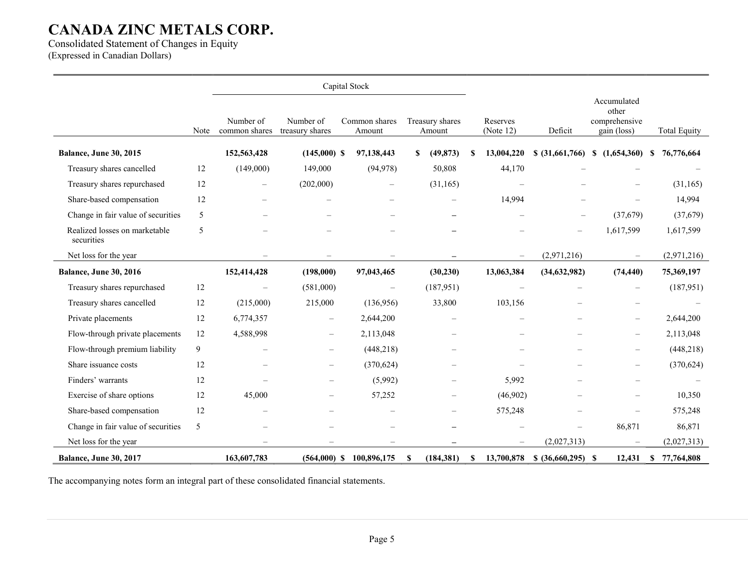Consolidated Statement of Changes in Equity (Expressed in Canadian Dollars)

|                                             |      |                            |                              | Capital Stock           |    |                           |    |                          |                          |                                                      |                     |
|---------------------------------------------|------|----------------------------|------------------------------|-------------------------|----|---------------------------|----|--------------------------|--------------------------|------------------------------------------------------|---------------------|
|                                             | Note | Number of<br>common shares | Number of<br>treasury shares | Common shares<br>Amount |    | Treasury shares<br>Amount |    | Reserves<br>(Note 12)    | Deficit                  | Accumulated<br>other<br>comprehensive<br>gain (loss) | <b>Total Equity</b> |
| Balance, June 30, 2015                      |      | 152,563,428                | $(145,000)$ \$               | 97,138,443              | S  | (49, 873)                 | S  | 13,004,220               | \$ (31,661,766)          | <sup>S</sup><br>(1,654,360)                          | 76,776,664<br>S     |
| Treasury shares cancelled                   | 12   | (149,000)                  | 149,000                      | (94, 978)               |    | 50,808                    |    | 44,170                   |                          |                                                      |                     |
| Treasury shares repurchased                 | 12   | $\overline{\phantom{0}}$   | (202,000)                    |                         |    | (31, 165)                 |    | $\overline{\phantom{0}}$ |                          |                                                      | (31,165)            |
| Share-based compensation                    | 12   |                            |                              |                         |    |                           |    | 14,994                   |                          |                                                      | 14,994              |
| Change in fair value of securities          | 5    |                            |                              |                         |    |                           |    | $\overline{\phantom{0}}$ | $\overline{\phantom{0}}$ | (37,679)                                             | (37,679)            |
| Realized losses on marketable<br>securities | 5    |                            |                              |                         |    |                           |    |                          | $\overline{\phantom{m}}$ | 1,617,599                                            | 1,617,599           |
| Net loss for the year                       |      |                            |                              |                         |    |                           |    | $\overline{\phantom{0}}$ | (2,971,216)              | $\overline{\phantom{m}}$                             | (2,971,216)         |
| Balance, June 30, 2016                      |      | 152,414,428                | (198,000)                    | 97,043,465              |    | (30, 230)                 |    | 13,063,384               | (34, 632, 982)           | (74, 440)                                            | 75,369,197          |
| Treasury shares repurchased                 | 12   | $\overline{\phantom{0}}$   | (581,000)                    |                         |    | (187, 951)                |    | $\overline{\phantom{0}}$ |                          | $\overline{\phantom{0}}$                             | (187, 951)          |
| Treasury shares cancelled                   | 12   | (215,000)                  | 215,000                      | (136,956)               |    | 33,800                    |    | 103,156                  |                          |                                                      |                     |
| Private placements                          | 12   | 6,774,357                  | $-$                          | 2,644,200               |    | $\equiv$                  |    |                          |                          | $\overline{\phantom{a}}$                             | 2,644,200           |
| Flow-through private placements             | 12   | 4,588,998                  | $\overline{\phantom{0}}$     | 2,113,048               |    |                           |    |                          |                          |                                                      | 2,113,048           |
| Flow-through premium liability              | 9    | ÷                          | $\overline{\phantom{0}}$     | (448, 218)              |    |                           |    | $\overline{\phantom{0}}$ |                          |                                                      | (448, 218)          |
| Share issuance costs                        | 12   |                            | $\overline{\phantom{0}}$     | (370, 624)              |    |                           |    |                          |                          |                                                      | (370, 624)          |
| Finders' warrants                           | 12   |                            | $\frac{1}{2}$                | (5,992)                 |    |                           |    | 5,992                    |                          | $\overline{\phantom{0}}$                             |                     |
| Exercise of share options                   | 12   | 45,000                     | $\overline{\phantom{0}}$     | 57,252                  |    |                           |    | (46,902)                 |                          | $\sim$                                               | 10,350              |
| Share-based compensation                    | 12   | $\overline{\phantom{0}}$   |                              |                         |    | $\overline{\phantom{0}}$  |    | 575,248                  |                          |                                                      | 575,248             |
| Change in fair value of securities          | 5    |                            |                              |                         |    |                           |    |                          |                          | 86,871                                               | 86,871              |
| Net loss for the year                       |      |                            |                              |                         |    |                           |    | $\qquad \qquad -$        | (2,027,313)              | $\overline{\phantom{m}}$                             | (2,027,313)         |
| Balance, June 30, 2017                      |      | 163,607,783                | $(564,000)$ \$               | 100,896,175             | \$ | (184, 381)                | \$ | 13,700,878               | $$ (36,660,295) \$       | 12,431                                               | 77,764,808<br>S     |

The accompanying notes form an integral part of these consolidated financial statements.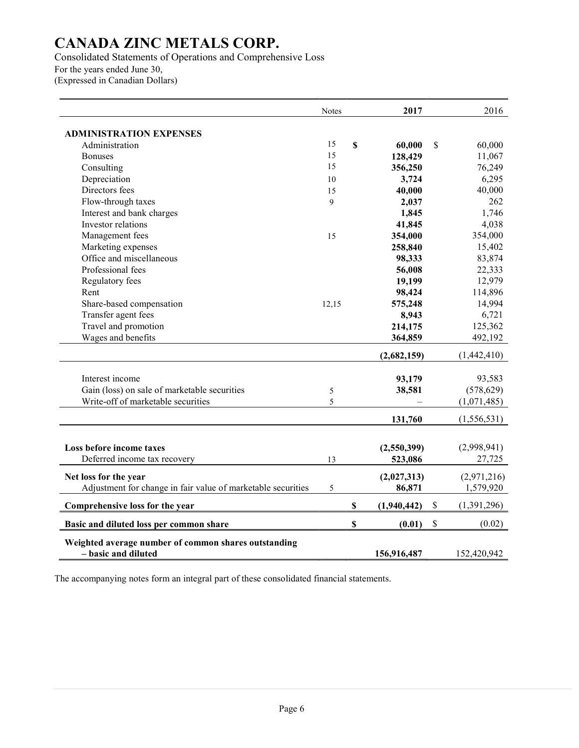Consolidated Statements of Operations and Comprehensive Loss For the years ended June 30, (Expressed in Canadian Dollars)

|                                                              | <b>Notes</b> |                           | 2017                   |               | 2016                  |
|--------------------------------------------------------------|--------------|---------------------------|------------------------|---------------|-----------------------|
| <b>ADMINISTRATION EXPENSES</b>                               |              |                           |                        |               |                       |
| Administration                                               | 15           | $\mathbf S$               | 60,000                 | \$            | 60,000                |
| <b>Bonuses</b>                                               | 15           |                           | 128,429                |               | 11,067                |
| Consulting                                                   | 15           |                           | 356,250                |               | 76,249                |
| Depreciation                                                 | 10           |                           | 3,724                  |               | 6,295                 |
| Directors fees                                               | 15           |                           | 40,000                 |               | 40,000                |
| Flow-through taxes                                           | 9            |                           | 2,037                  |               | 262                   |
| Interest and bank charges                                    |              |                           | 1,845                  |               | 1,746                 |
| Investor relations                                           |              |                           | 41,845                 |               | 4,038                 |
| Management fees                                              | 15           |                           | 354,000                |               | 354,000               |
| Marketing expenses                                           |              |                           | 258,840                |               | 15,402                |
| Office and miscellaneous                                     |              |                           | 98,333                 |               | 83,874                |
| Professional fees                                            |              |                           | 56,008                 |               | 22,333                |
| Regulatory fees                                              |              |                           | 19,199                 |               | 12,979                |
| Rent                                                         |              |                           | 98,424                 |               | 114,896               |
| Share-based compensation                                     | 12,15        |                           | 575,248                |               | 14,994                |
| Transfer agent fees                                          |              |                           | 8,943                  |               | 6,721                 |
| Travel and promotion                                         |              |                           | 214,175                |               | 125,362               |
| Wages and benefits                                           |              |                           | 364,859                |               | 492,192               |
|                                                              |              |                           | (2,682,159)            |               | (1,442,410)           |
|                                                              |              |                           |                        |               |                       |
| Interest income                                              |              |                           | 93,179                 |               | 93,583                |
| Gain (loss) on sale of marketable securities                 | 5            |                           | 38,581                 |               | (578, 629)            |
| Write-off of marketable securities                           | 5            |                           |                        |               | (1,071,485)           |
|                                                              |              |                           | 131,760                |               | (1, 556, 531)         |
|                                                              |              |                           |                        |               |                       |
| Loss before income taxes                                     |              |                           |                        |               |                       |
| Deferred income tax recovery                                 |              |                           | (2,550,399)<br>523,086 |               | (2,998,941)<br>27,725 |
|                                                              | 13           |                           |                        |               |                       |
| Net loss for the year                                        |              |                           | (2,027,313)            |               | (2,971,216)           |
| Adjustment for change in fair value of marketable securities | 5            |                           | 86,871                 |               | 1,579,920             |
| Comprehensive loss for the year                              |              | $\boldsymbol{\mathsf{S}}$ | (1,940,442)            | $\mathcal{S}$ | (1,391,296)           |
| Basic and diluted loss per common share                      |              | \$                        | (0.01)                 | \$            | (0.02)                |
| Weighted average number of common shares outstanding         |              |                           |                        |               |                       |
| - basic and diluted                                          |              |                           | 156,916,487            |               | 152,420,942           |

The accompanying notes form an integral part of these consolidated financial statements.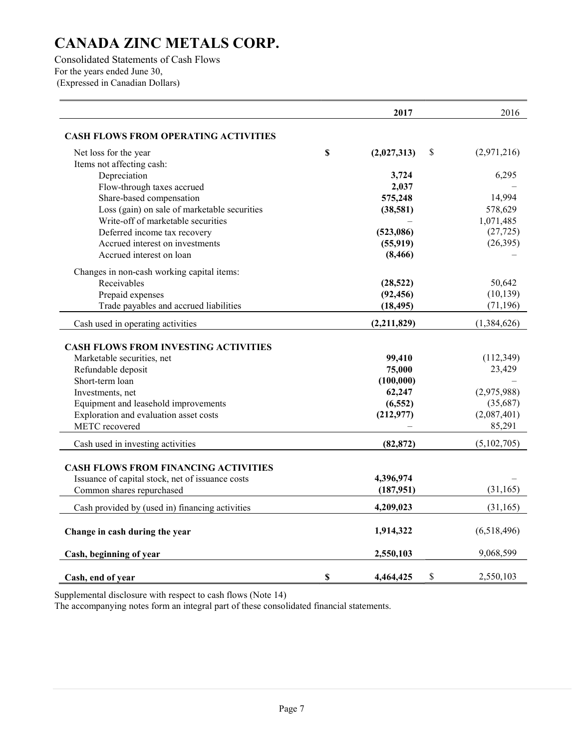Consolidated Statements of Cash Flows For the years ended June 30, (Expressed in Canadian Dollars)

|                                                  |                           | 2017              | 2016        |
|--------------------------------------------------|---------------------------|-------------------|-------------|
| <b>CASH FLOWS FROM OPERATING ACTIVITIES</b>      |                           |                   |             |
| Net loss for the year                            | $\boldsymbol{\mathsf{S}}$ | (2,027,313)<br>\$ | (2,971,216) |
| Items not affecting cash:                        |                           |                   |             |
| Depreciation                                     |                           | 3,724             | 6,295       |
| Flow-through taxes accrued                       |                           | 2,037             |             |
| Share-based compensation                         |                           | 575,248           | 14,994      |
| Loss (gain) on sale of marketable securities     |                           | (38, 581)         | 578,629     |
| Write-off of marketable securities               |                           |                   | 1,071,485   |
| Deferred income tax recovery                     |                           | (523,086)         | (27, 725)   |
| Accrued interest on investments                  |                           | (55, 919)         | (26,395)    |
| Accrued interest on loan                         |                           | (8, 466)          |             |
|                                                  |                           |                   |             |
| Changes in non-cash working capital items:       |                           |                   |             |
| Receivables                                      |                           | (28, 522)         | 50,642      |
| Prepaid expenses                                 |                           | (92, 456)         | (10, 139)   |
| Trade payables and accrued liabilities           |                           | (18, 495)         | (71, 196)   |
| Cash used in operating activities                |                           | (2, 211, 829)     | (1,384,626) |
| <b>CASH FLOWS FROM INVESTING ACTIVITIES</b>      |                           |                   |             |
| Marketable securities, net                       |                           | 99,410            | (112,349)   |
| Refundable deposit                               |                           | 75,000            | 23,429      |
| Short-term loan                                  |                           | (100,000)         |             |
| Investments, net                                 |                           | 62,247            | (2,975,988) |
| Equipment and leasehold improvements             |                           | (6, 552)          | (35,687)    |
| Exploration and evaluation asset costs           |                           | (212, 977)        | (2,087,401) |
| METC recovered                                   |                           |                   | 85,291      |
| Cash used in investing activities                |                           | (82, 872)         | (5,102,705) |
| <b>CASH FLOWS FROM FINANCING ACTIVITIES</b>      |                           |                   |             |
| Issuance of capital stock, net of issuance costs |                           | 4,396,974         |             |
| Common shares repurchased                        |                           | (187, 951)        | (31, 165)   |
|                                                  |                           |                   |             |
| Cash provided by (used in) financing activities  |                           | 4,209,023         | (31, 165)   |
| Change in cash during the year                   |                           | 1,914,322         | (6,518,496) |
| Cash, beginning of year                          |                           | 2,550,103         | 9,068,599   |
| Cash, end of year                                | \$                        | \$<br>4,464,425   | 2,550,103   |

Supplemental disclosure with respect to cash flows (Note 14)

The accompanying notes form an integral part of these consolidated financial statements.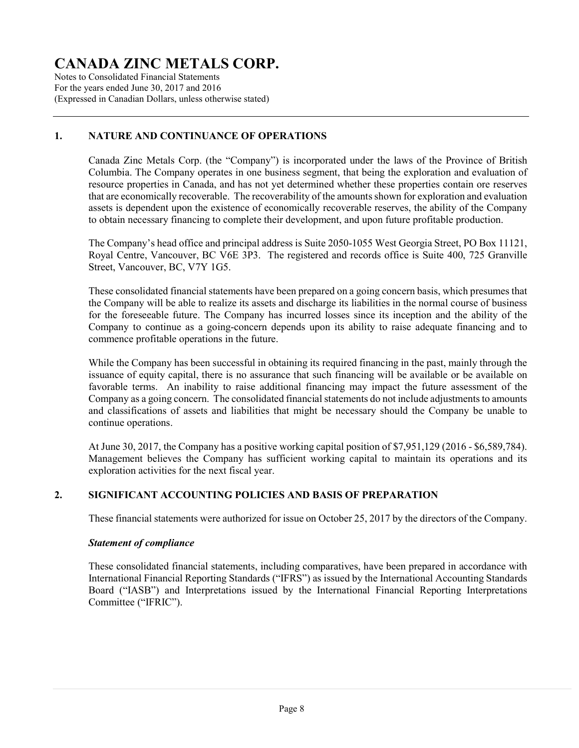Notes to Consolidated Financial Statements For the years ended June 30, 2017 and 2016 (Expressed in Canadian Dollars, unless otherwise stated)

### 1. NATURE AND CONTINUANCE OF OPERATIONS

Canada Zinc Metals Corp. (the "Company") is incorporated under the laws of the Province of British Columbia. The Company operates in one business segment, that being the exploration and evaluation of resource properties in Canada, and has not yet determined whether these properties contain ore reserves that are economically recoverable. The recoverability of the amounts shown for exploration and evaluation assets is dependent upon the existence of economically recoverable reserves, the ability of the Company to obtain necessary financing to complete their development, and upon future profitable production.

The Company's head office and principal address is Suite 2050-1055 West Georgia Street, PO Box 11121, Royal Centre, Vancouver, BC V6E 3P3. The registered and records office is Suite 400, 725 Granville Street, Vancouver, BC, V7Y 1G5.

These consolidated financial statements have been prepared on a going concern basis, which presumes that the Company will be able to realize its assets and discharge its liabilities in the normal course of business for the foreseeable future. The Company has incurred losses since its inception and the ability of the Company to continue as a going-concern depends upon its ability to raise adequate financing and to commence profitable operations in the future.

While the Company has been successful in obtaining its required financing in the past, mainly through the issuance of equity capital, there is no assurance that such financing will be available or be available on favorable terms. An inability to raise additional financing may impact the future assessment of the Company as a going concern. The consolidated financial statements do not include adjustments to amounts and classifications of assets and liabilities that might be necessary should the Company be unable to continue operations.

At June 30, 2017, the Company has a positive working capital position of \$7,951,129 (2016 - \$6,589,784). Management believes the Company has sufficient working capital to maintain its operations and its exploration activities for the next fiscal year.

### 2. SIGNIFICANT ACCOUNTING POLICIES AND BASIS OF PREPARATION

These financial statements were authorized for issue on October 25, 2017 by the directors of the Company.

### Statement of compliance

These consolidated financial statements, including comparatives, have been prepared in accordance with International Financial Reporting Standards ("IFRS") as issued by the International Accounting Standards Board ("IASB") and Interpretations issued by the International Financial Reporting Interpretations Committee ("IFRIC").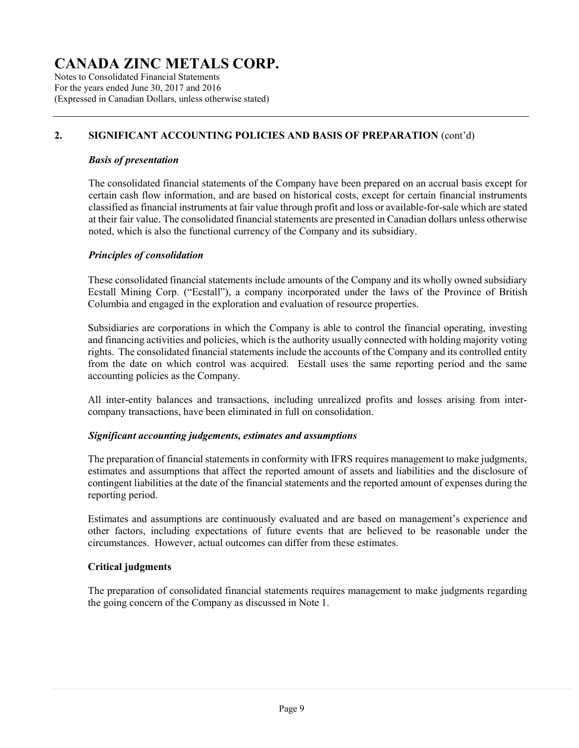Notes to Consolidated Financial Statements For the years ended June 30, 2017 and 2016 (Expressed in Canadian Dollars, unless otherwise stated)

### 2. SIGNIFICANT ACCOUNTING POLICIES AND BASIS OF PREPARATION (cont'd)

### Basis of presentation

The consolidated financial statements of the Company have been prepared on an accrual basis except for certain cash flow information, and are based on historical costs, except for certain financial instruments classified as financial instruments at fair value through profit and loss or available-for-sale which are stated at their fair value. The consolidated financial statements are presented in Canadian dollars unless otherwise noted, which is also the functional currency of the Company and its subsidiary.

### Principles of consolidation

These consolidated financial statements include amounts of the Company and its wholly owned subsidiary Ecstall Mining Corp. ("Ecstall"), a company incorporated under the laws of the Province of British Columbia and engaged in the exploration and evaluation of resource properties.

Subsidiaries are corporations in which the Company is able to control the financial operating, investing and financing activities and policies, which is the authority usually connected with holding majority voting rights. The consolidated financial statements include the accounts of the Company and its controlled entity from the date on which control was acquired. Ecstall uses the same reporting period and the same accounting policies as the Company.

All inter-entity balances and transactions, including unrealized profits and losses arising from intercompany transactions, have been eliminated in full on consolidation.

### Significant accounting judgements, estimates and assumptions

The preparation of financial statements in conformity with IFRS requires management to make judgments, estimates and assumptions that affect the reported amount of assets and liabilities and the disclosure of contingent liabilities at the date of the financial statements and the reported amount of expenses during the reporting period.

Estimates and assumptions are continuously evaluated and are based on management's experience and other factors, including expectations of future events that are believed to be reasonable under the circumstances. However, actual outcomes can differ from these estimates.

### Critical judgments

The preparation of consolidated financial statements requires management to make judgments regarding the going concern of the Company as discussed in Note 1.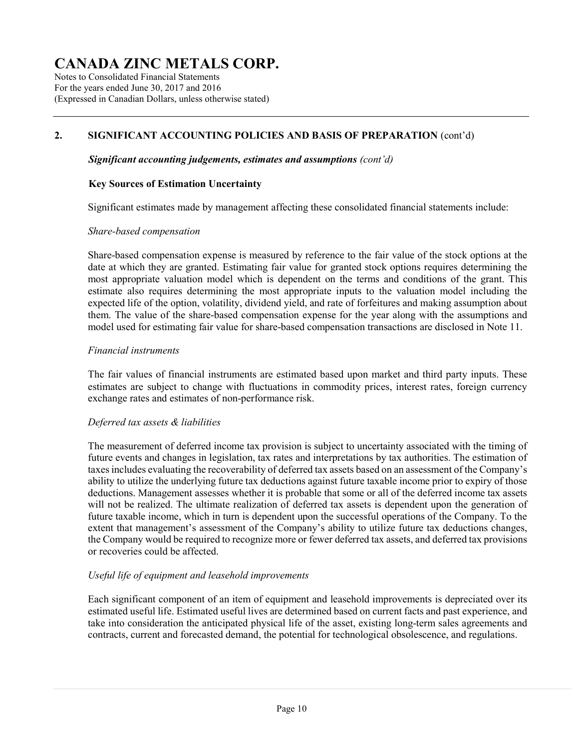Notes to Consolidated Financial Statements For the years ended June 30, 2017 and 2016 (Expressed in Canadian Dollars, unless otherwise stated)

### 2. SIGNIFICANT ACCOUNTING POLICIES AND BASIS OF PREPARATION (cont'd)

### Significant accounting judgements, estimates and assumptions (cont'd)

### Key Sources of Estimation Uncertainty

Significant estimates made by management affecting these consolidated financial statements include:

### Share-based compensation

Share-based compensation expense is measured by reference to the fair value of the stock options at the date at which they are granted. Estimating fair value for granted stock options requires determining the most appropriate valuation model which is dependent on the terms and conditions of the grant. This estimate also requires determining the most appropriate inputs to the valuation model including the expected life of the option, volatility, dividend yield, and rate of forfeitures and making assumption about them. The value of the share-based compensation expense for the year along with the assumptions and model used for estimating fair value for share-based compensation transactions are disclosed in Note 11.

### Financial instruments

The fair values of financial instruments are estimated based upon market and third party inputs. These estimates are subject to change with fluctuations in commodity prices, interest rates, foreign currency exchange rates and estimates of non-performance risk.

### Deferred tax assets & liabilities

The measurement of deferred income tax provision is subject to uncertainty associated with the timing of future events and changes in legislation, tax rates and interpretations by tax authorities. The estimation of taxes includes evaluating the recoverability of deferred tax assets based on an assessment of the Company's ability to utilize the underlying future tax deductions against future taxable income prior to expiry of those deductions. Management assesses whether it is probable that some or all of the deferred income tax assets will not be realized. The ultimate realization of deferred tax assets is dependent upon the generation of future taxable income, which in turn is dependent upon the successful operations of the Company. To the extent that management's assessment of the Company's ability to utilize future tax deductions changes, the Company would be required to recognize more or fewer deferred tax assets, and deferred tax provisions or recoveries could be affected.

### Useful life of equipment and leasehold improvements

Each significant component of an item of equipment and leasehold improvements is depreciated over its estimated useful life. Estimated useful lives are determined based on current facts and past experience, and take into consideration the anticipated physical life of the asset, existing long-term sales agreements and contracts, current and forecasted demand, the potential for technological obsolescence, and regulations.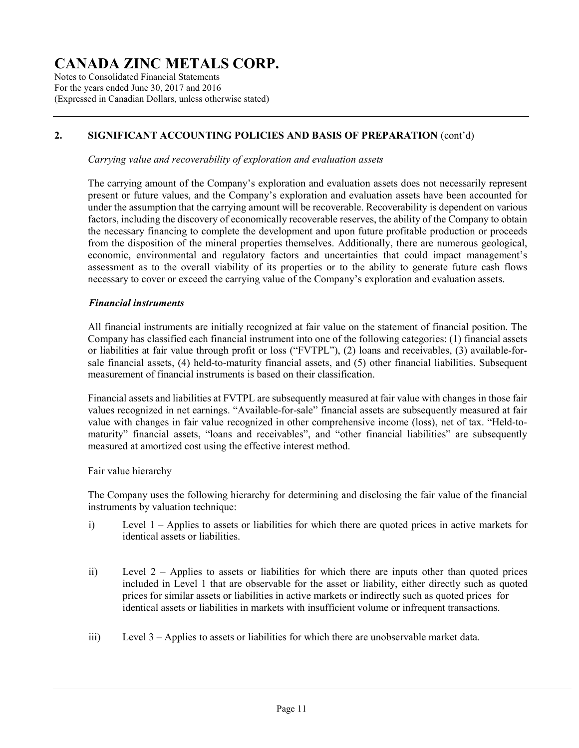Notes to Consolidated Financial Statements For the years ended June 30, 2017 and 2016 (Expressed in Canadian Dollars, unless otherwise stated)

### 2. SIGNIFICANT ACCOUNTING POLICIES AND BASIS OF PREPARATION (cont'd)

Carrying value and recoverability of exploration and evaluation assets

The carrying amount of the Company's exploration and evaluation assets does not necessarily represent present or future values, and the Company's exploration and evaluation assets have been accounted for under the assumption that the carrying amount will be recoverable. Recoverability is dependent on various factors, including the discovery of economically recoverable reserves, the ability of the Company to obtain the necessary financing to complete the development and upon future profitable production or proceeds from the disposition of the mineral properties themselves. Additionally, there are numerous geological, economic, environmental and regulatory factors and uncertainties that could impact management's assessment as to the overall viability of its properties or to the ability to generate future cash flows necessary to cover or exceed the carrying value of the Company's exploration and evaluation assets.

### Financial instruments

All financial instruments are initially recognized at fair value on the statement of financial position. The Company has classified each financial instrument into one of the following categories: (1) financial assets or liabilities at fair value through profit or loss ("FVTPL"), (2) loans and receivables, (3) available-forsale financial assets, (4) held-to-maturity financial assets, and (5) other financial liabilities. Subsequent measurement of financial instruments is based on their classification.

Financial assets and liabilities at FVTPL are subsequently measured at fair value with changes in those fair values recognized in net earnings. "Available-for-sale" financial assets are subsequently measured at fair value with changes in fair value recognized in other comprehensive income (loss), net of tax. "Held-tomaturity" financial assets, "loans and receivables", and "other financial liabilities" are subsequently measured at amortized cost using the effective interest method.

Fair value hierarchy

The Company uses the following hierarchy for determining and disclosing the fair value of the financial instruments by valuation technique:

- i) Level 1 Applies to assets or liabilities for which there are quoted prices in active markets for identical assets or liabilities.
- ii) Level 2 Applies to assets or liabilities for which there are inputs other than quoted prices included in Level 1 that are observable for the asset or liability, either directly such as quoted prices for similar assets or liabilities in active markets or indirectly such as quoted prices for identical assets or liabilities in markets with insufficient volume or infrequent transactions.
- iii) Level 3 Applies to assets or liabilities for which there are unobservable market data.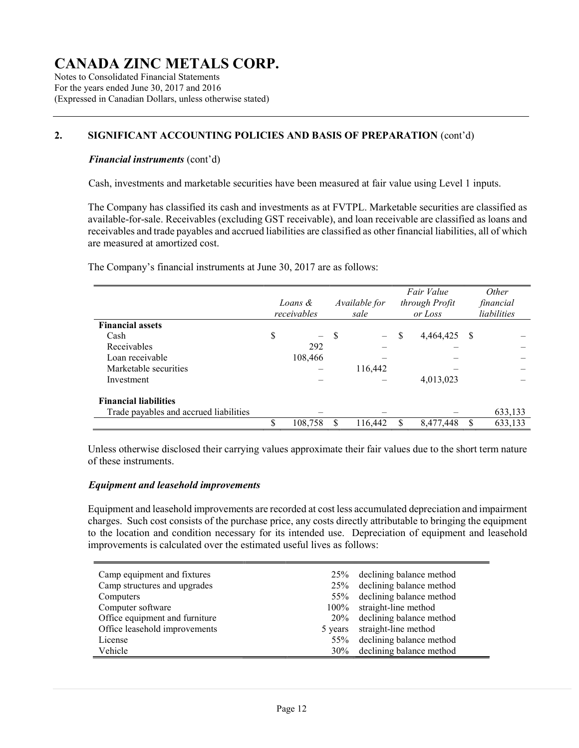Notes to Consolidated Financial Statements For the years ended June 30, 2017 and 2016 (Expressed in Canadian Dollars, unless otherwise stated)

### 2. SIGNIFICANT ACCOUNTING POLICIES AND BASIS OF PREPARATION (cont'd)

### Financial instruments (cont'd)

Cash, investments and marketable securities have been measured at fair value using Level 1 inputs.

The Company has classified its cash and investments as at FVTPL. Marketable securities are classified as available-for-sale. Receivables (excluding GST receivable), and loan receivable are classified as loans and receivables and trade payables and accrued liabilities are classified as other financial liabilities, all of which are measured at amortized cost.

The Company's financial instruments at June 30, 2017 are as follows:

|                                        |    | Loans &<br>receivables   |               | Available for<br>sale |   | Fair Value<br>through Profit<br>or Loss |          | <i>Other</i><br>financial<br>liabilities |
|----------------------------------------|----|--------------------------|---------------|-----------------------|---|-----------------------------------------|----------|------------------------------------------|
| <b>Financial assets</b>                |    |                          |               |                       |   |                                         |          |                                          |
| Cash                                   | \$ | $\overline{\phantom{m}}$ | <sup>\$</sup> |                       | S | 4,464,425                               | <b>S</b> |                                          |
| Receivables                            |    | 292                      |               |                       |   |                                         |          |                                          |
| Loan receivable                        |    | 108,466                  |               |                       |   |                                         |          |                                          |
| Marketable securities                  |    |                          |               | 116,442               |   |                                         |          |                                          |
| Investment                             |    |                          |               |                       |   | 4,013,023                               |          |                                          |
| <b>Financial liabilities</b>           |    |                          |               |                       |   |                                         |          |                                          |
| Trade payables and accrued liabilities |    |                          |               |                       |   |                                         |          | 633,133                                  |
|                                        | S  | 108,758                  |               | 116,442               |   | 8,477,448                               |          | 633,133                                  |

Unless otherwise disclosed their carrying values approximate their fair values due to the short term nature of these instruments.

### Equipment and leasehold improvements

Equipment and leasehold improvements are recorded at cost less accumulated depreciation and impairment charges. Such cost consists of the purchase price, any costs directly attributable to bringing the equipment to the location and condition necessary for its intended use. Depreciation of equipment and leasehold improvements is calculated over the estimated useful lives as follows:

| Camp equipment and fixtures    | 25%    | declining balance method     |
|--------------------------------|--------|------------------------------|
| Camp structures and upgrades   | 25%    | declining balance method     |
| Computers                      |        | 55% declining balance method |
| Computer software              |        | 100% straight-line method    |
| Office equipment and furniture | 20%    | declining balance method     |
| Office leasehold improvements  |        | 5 years straight-line method |
| License                        | 55%    | declining balance method     |
| Vehicle                        | $30\%$ | declining balance method     |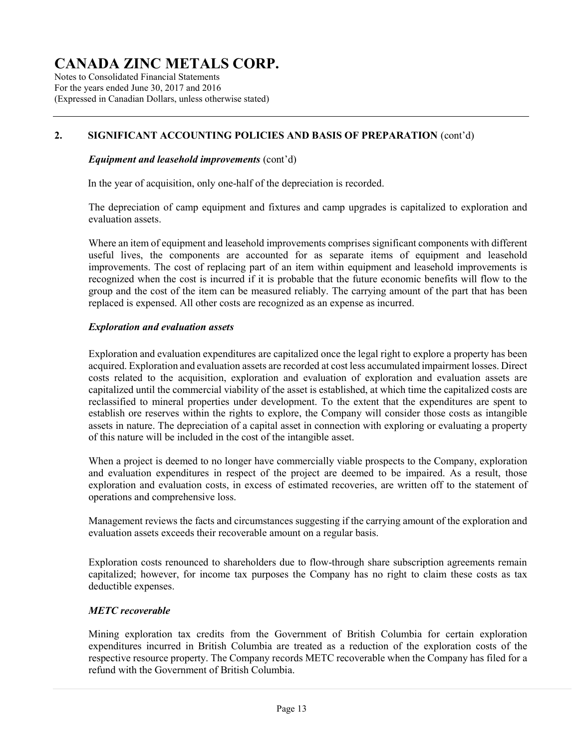Notes to Consolidated Financial Statements For the years ended June 30, 2017 and 2016 (Expressed in Canadian Dollars, unless otherwise stated)

### 2. SIGNIFICANT ACCOUNTING POLICIES AND BASIS OF PREPARATION (cont'd)

### Equipment and leasehold improvements (cont'd)

In the year of acquisition, only one-half of the depreciation is recorded.

The depreciation of camp equipment and fixtures and camp upgrades is capitalized to exploration and evaluation assets.

Where an item of equipment and leasehold improvements comprises significant components with different useful lives, the components are accounted for as separate items of equipment and leasehold improvements. The cost of replacing part of an item within equipment and leasehold improvements is recognized when the cost is incurred if it is probable that the future economic benefits will flow to the group and the cost of the item can be measured reliably. The carrying amount of the part that has been replaced is expensed. All other costs are recognized as an expense as incurred.

### Exploration and evaluation assets

Exploration and evaluation expenditures are capitalized once the legal right to explore a property has been acquired. Exploration and evaluation assets are recorded at cost less accumulated impairment losses. Direct costs related to the acquisition, exploration and evaluation of exploration and evaluation assets are capitalized until the commercial viability of the asset is established, at which time the capitalized costs are reclassified to mineral properties under development. To the extent that the expenditures are spent to establish ore reserves within the rights to explore, the Company will consider those costs as intangible assets in nature. The depreciation of a capital asset in connection with exploring or evaluating a property of this nature will be included in the cost of the intangible asset.

When a project is deemed to no longer have commercially viable prospects to the Company, exploration and evaluation expenditures in respect of the project are deemed to be impaired. As a result, those exploration and evaluation costs, in excess of estimated recoveries, are written off to the statement of operations and comprehensive loss.

Management reviews the facts and circumstances suggesting if the carrying amount of the exploration and evaluation assets exceeds their recoverable amount on a regular basis.

Exploration costs renounced to shareholders due to flow-through share subscription agreements remain capitalized; however, for income tax purposes the Company has no right to claim these costs as tax deductible expenses.

### METC recoverable

Mining exploration tax credits from the Government of British Columbia for certain exploration expenditures incurred in British Columbia are treated as a reduction of the exploration costs of the respective resource property. The Company records METC recoverable when the Company has filed for a refund with the Government of British Columbia.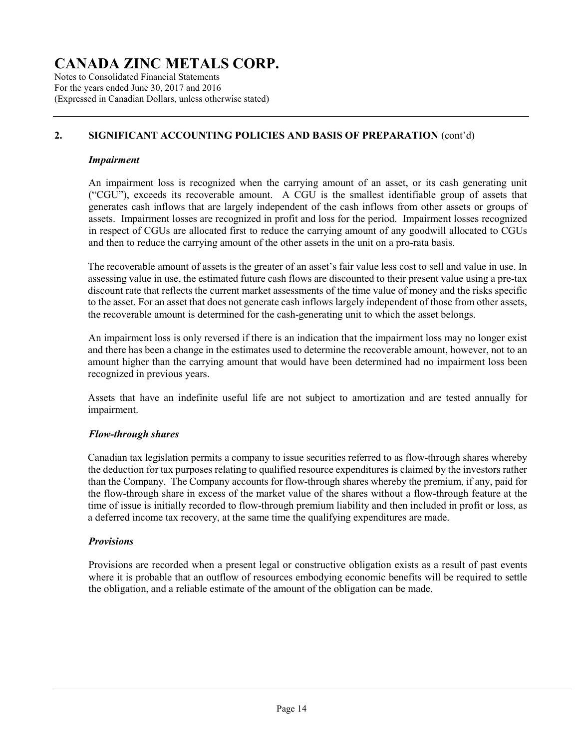Notes to Consolidated Financial Statements For the years ended June 30, 2017 and 2016 (Expressed in Canadian Dollars, unless otherwise stated)

### 2. SIGNIFICANT ACCOUNTING POLICIES AND BASIS OF PREPARATION (cont'd)

### Impairment

An impairment loss is recognized when the carrying amount of an asset, or its cash generating unit ("CGU"), exceeds its recoverable amount. A CGU is the smallest identifiable group of assets that generates cash inflows that are largely independent of the cash inflows from other assets or groups of assets. Impairment losses are recognized in profit and loss for the period. Impairment losses recognized in respect of CGUs are allocated first to reduce the carrying amount of any goodwill allocated to CGUs and then to reduce the carrying amount of the other assets in the unit on a pro-rata basis.

The recoverable amount of assets is the greater of an asset's fair value less cost to sell and value in use. In assessing value in use, the estimated future cash flows are discounted to their present value using a pre-tax discount rate that reflects the current market assessments of the time value of money and the risks specific to the asset. For an asset that does not generate cash inflows largely independent of those from other assets, the recoverable amount is determined for the cash-generating unit to which the asset belongs.

 An impairment loss is only reversed if there is an indication that the impairment loss may no longer exist and there has been a change in the estimates used to determine the recoverable amount, however, not to an amount higher than the carrying amount that would have been determined had no impairment loss been recognized in previous years.

Assets that have an indefinite useful life are not subject to amortization and are tested annually for impairment.

### Flow-through shares

Canadian tax legislation permits a company to issue securities referred to as flow-through shares whereby the deduction for tax purposes relating to qualified resource expenditures is claimed by the investors rather than the Company. The Company accounts for flow-through shares whereby the premium, if any, paid for the flow-through share in excess of the market value of the shares without a flow-through feature at the time of issue is initially recorded to flow-through premium liability and then included in profit or loss, as a deferred income tax recovery, at the same time the qualifying expenditures are made.

### **Provisions**

Provisions are recorded when a present legal or constructive obligation exists as a result of past events where it is probable that an outflow of resources embodying economic benefits will be required to settle the obligation, and a reliable estimate of the amount of the obligation can be made.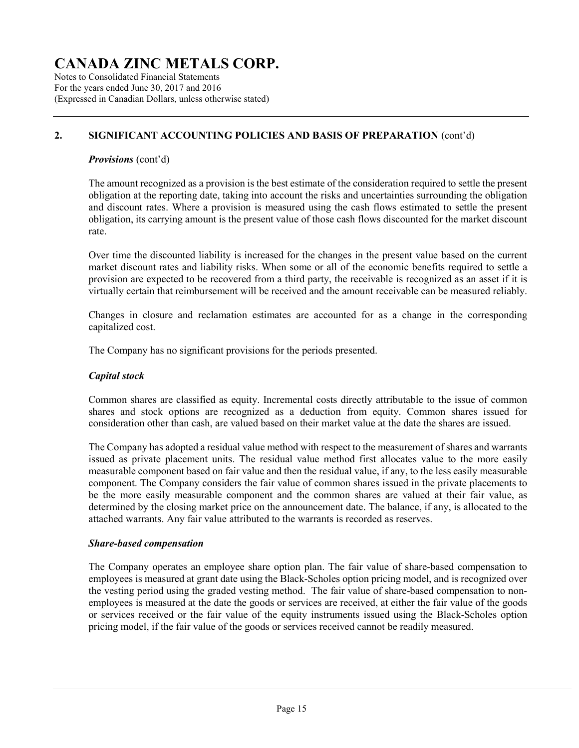Notes to Consolidated Financial Statements For the years ended June 30, 2017 and 2016 (Expressed in Canadian Dollars, unless otherwise stated)

### 2. SIGNIFICANT ACCOUNTING POLICIES AND BASIS OF PREPARATION (cont'd)

### Provisions (cont'd)

The amount recognized as a provision is the best estimate of the consideration required to settle the present obligation at the reporting date, taking into account the risks and uncertainties surrounding the obligation and discount rates. Where a provision is measured using the cash flows estimated to settle the present obligation, its carrying amount is the present value of those cash flows discounted for the market discount rate.

Over time the discounted liability is increased for the changes in the present value based on the current market discount rates and liability risks. When some or all of the economic benefits required to settle a provision are expected to be recovered from a third party, the receivable is recognized as an asset if it is virtually certain that reimbursement will be received and the amount receivable can be measured reliably.

Changes in closure and reclamation estimates are accounted for as a change in the corresponding capitalized cost.

The Company has no significant provisions for the periods presented.

### Capital stock

Common shares are classified as equity. Incremental costs directly attributable to the issue of common shares and stock options are recognized as a deduction from equity. Common shares issued for consideration other than cash, are valued based on their market value at the date the shares are issued.

The Company has adopted a residual value method with respect to the measurement of shares and warrants issued as private placement units. The residual value method first allocates value to the more easily measurable component based on fair value and then the residual value, if any, to the less easily measurable component. The Company considers the fair value of common shares issued in the private placements to be the more easily measurable component and the common shares are valued at their fair value, as determined by the closing market price on the announcement date. The balance, if any, is allocated to the attached warrants. Any fair value attributed to the warrants is recorded as reserves.

### Share-based compensation

The Company operates an employee share option plan. The fair value of share-based compensation to employees is measured at grant date using the Black-Scholes option pricing model, and is recognized over the vesting period using the graded vesting method. The fair value of share-based compensation to nonemployees is measured at the date the goods or services are received, at either the fair value of the goods or services received or the fair value of the equity instruments issued using the Black-Scholes option pricing model, if the fair value of the goods or services received cannot be readily measured.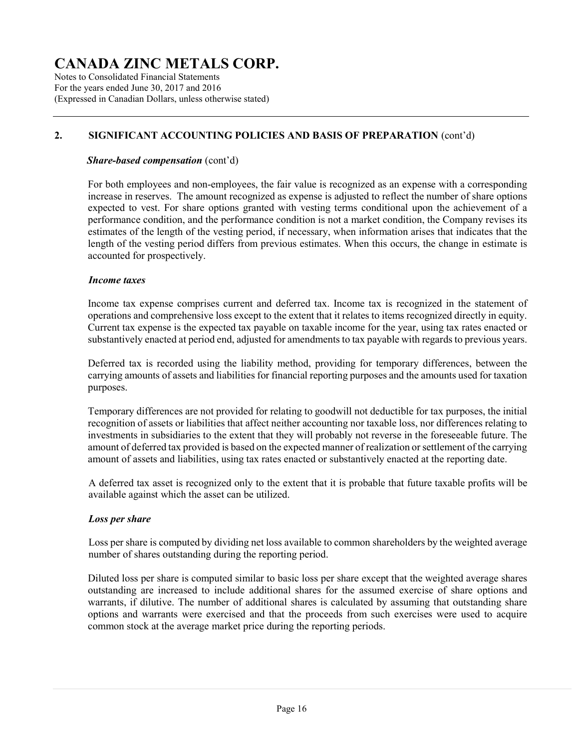Notes to Consolidated Financial Statements For the years ended June 30, 2017 and 2016 (Expressed in Canadian Dollars, unless otherwise stated)

### 2. SIGNIFICANT ACCOUNTING POLICIES AND BASIS OF PREPARATION (cont'd)

### Share-based compensation (cont'd)

For both employees and non-employees, the fair value is recognized as an expense with a corresponding increase in reserves. The amount recognized as expense is adjusted to reflect the number of share options expected to vest. For share options granted with vesting terms conditional upon the achievement of a performance condition, and the performance condition is not a market condition, the Company revises its estimates of the length of the vesting period, if necessary, when information arises that indicates that the length of the vesting period differs from previous estimates. When this occurs, the change in estimate is accounted for prospectively.

### Income taxes

Income tax expense comprises current and deferred tax. Income tax is recognized in the statement of operations and comprehensive loss except to the extent that it relates to items recognized directly in equity. Current tax expense is the expected tax payable on taxable income for the year, using tax rates enacted or substantively enacted at period end, adjusted for amendments to tax payable with regards to previous years.

Deferred tax is recorded using the liability method, providing for temporary differences, between the carrying amounts of assets and liabilities for financial reporting purposes and the amounts used for taxation purposes.

Temporary differences are not provided for relating to goodwill not deductible for tax purposes, the initial recognition of assets or liabilities that affect neither accounting nor taxable loss, nor differences relating to investments in subsidiaries to the extent that they will probably not reverse in the foreseeable future. The amount of deferred tax provided is based on the expected manner of realization or settlement of the carrying amount of assets and liabilities, using tax rates enacted or substantively enacted at the reporting date.

A deferred tax asset is recognized only to the extent that it is probable that future taxable profits will be available against which the asset can be utilized.

### Loss per share

Loss per share is computed by dividing net loss available to common shareholders by the weighted average number of shares outstanding during the reporting period.

Diluted loss per share is computed similar to basic loss per share except that the weighted average shares outstanding are increased to include additional shares for the assumed exercise of share options and warrants, if dilutive. The number of additional shares is calculated by assuming that outstanding share options and warrants were exercised and that the proceeds from such exercises were used to acquire common stock at the average market price during the reporting periods.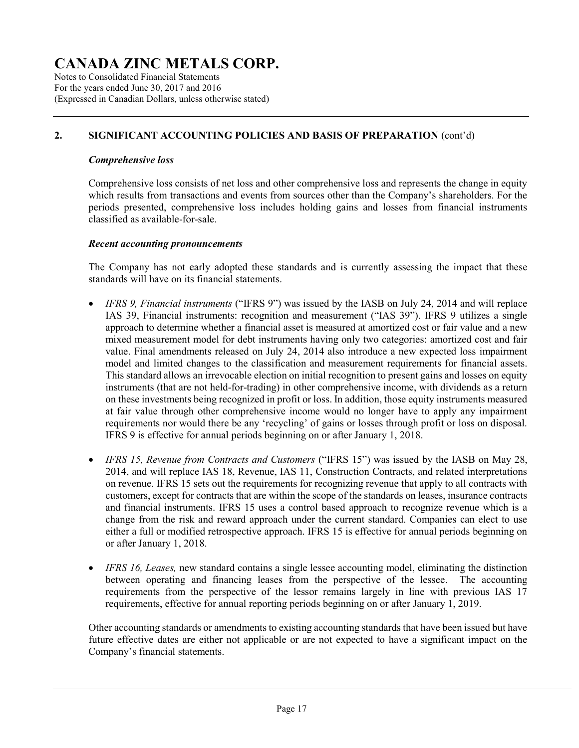Notes to Consolidated Financial Statements For the years ended June 30, 2017 and 2016 (Expressed in Canadian Dollars, unless otherwise stated)

### 2. SIGNIFICANT ACCOUNTING POLICIES AND BASIS OF PREPARATION (cont'd)

### Comprehensive loss

Comprehensive loss consists of net loss and other comprehensive loss and represents the change in equity which results from transactions and events from sources other than the Company's shareholders. For the periods presented, comprehensive loss includes holding gains and losses from financial instruments classified as available-for-sale.

### Recent accounting pronouncements

The Company has not early adopted these standards and is currently assessing the impact that these standards will have on its financial statements.

- IFRS 9, Financial instruments ("IFRS 9") was issued by the IASB on July 24, 2014 and will replace IAS 39, Financial instruments: recognition and measurement ("IAS 39"). IFRS 9 utilizes a single approach to determine whether a financial asset is measured at amortized cost or fair value and a new mixed measurement model for debt instruments having only two categories: amortized cost and fair value. Final amendments released on July 24, 2014 also introduce a new expected loss impairment model and limited changes to the classification and measurement requirements for financial assets. This standard allows an irrevocable election on initial recognition to present gains and losses on equity instruments (that are not held-for-trading) in other comprehensive income, with dividends as a return on these investments being recognized in profit or loss. In addition, those equity instruments measured at fair value through other comprehensive income would no longer have to apply any impairment requirements nor would there be any 'recycling' of gains or losses through profit or loss on disposal. IFRS 9 is effective for annual periods beginning on or after January 1, 2018.
- IFRS 15, Revenue from Contracts and Customers ("IFRS 15") was issued by the IASB on May 28, 2014, and will replace IAS 18, Revenue, IAS 11, Construction Contracts, and related interpretations on revenue. IFRS 15 sets out the requirements for recognizing revenue that apply to all contracts with customers, except for contracts that are within the scope of the standards on leases, insurance contracts and financial instruments. IFRS 15 uses a control based approach to recognize revenue which is a change from the risk and reward approach under the current standard. Companies can elect to use either a full or modified retrospective approach. IFRS 15 is effective for annual periods beginning on or after January 1, 2018.
- IFRS 16, Leases, new standard contains a single lessee accounting model, eliminating the distinction between operating and financing leases from the perspective of the lessee. The accounting requirements from the perspective of the lessor remains largely in line with previous IAS 17 requirements, effective for annual reporting periods beginning on or after January 1, 2019.

Other accounting standards or amendments to existing accounting standards that have been issued but have future effective dates are either not applicable or are not expected to have a significant impact on the Company's financial statements.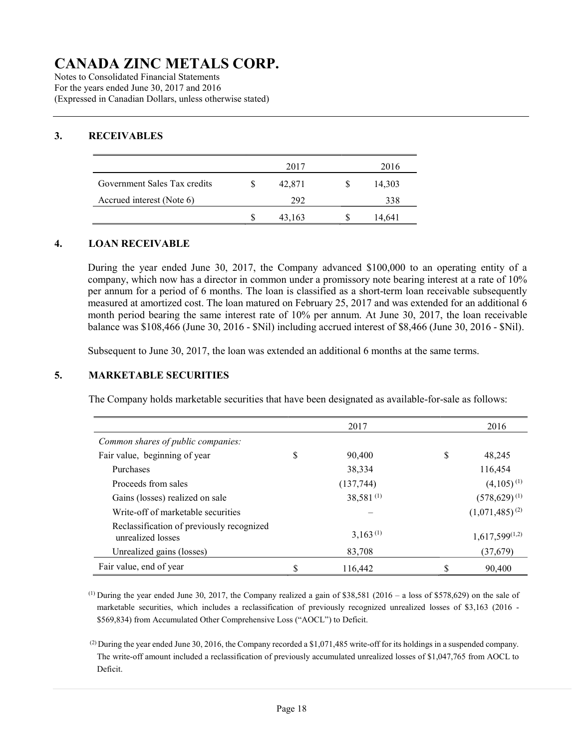Notes to Consolidated Financial Statements For the years ended June 30, 2017 and 2016 (Expressed in Canadian Dollars, unless otherwise stated)

### 3. RECEIVABLES

|                              | 2017   |   | 2016   |
|------------------------------|--------|---|--------|
| Government Sales Tax credits | 42,871 | S | 14,303 |
| Accrued interest (Note 6)    | 292    |   | 338    |
|                              | 43,163 |   | 14,641 |

#### 4. LOAN RECEIVABLE

During the year ended June 30, 2017, the Company advanced \$100,000 to an operating entity of a company, which now has a director in common under a promissory note bearing interest at a rate of 10% per annum for a period of 6 months. The loan is classified as a short-term loan receivable subsequently measured at amortized cost. The loan matured on February 25, 2017 and was extended for an additional 6 month period bearing the same interest rate of 10% per annum. At June 30, 2017, the loan receivable balance was \$108,466 (June 30, 2016 - \$Nil) including accrued interest of \$8,466 (June 30, 2016 - \$Nil).

Subsequent to June 30, 2017, the loan was extended an additional 6 months at the same terms.

#### 5. MARKETABLE SECURITIES

The Company holds marketable securities that have been designated as available-for-sale as follows:

|                                                                |    | 2017          |    | 2016                |
|----------------------------------------------------------------|----|---------------|----|---------------------|
| Common shares of public companies:                             |    |               |    |                     |
| Fair value, beginning of year                                  | \$ | 90,400        | \$ | 48,245              |
| Purchases                                                      |    | 38,334        |    | 116,454             |
| Proceeds from sales                                            |    | (137,744)     |    | $(4,105)^{(1)}$     |
| Gains (losses) realized on sale                                |    | 38,581 $(1)$  |    | $(578,629)^{(1)}$   |
| Write-off of marketable securities                             |    |               |    | $(1,071,485)^{(2)}$ |
| Reclassification of previously recognized<br>unrealized losses |    | $3,163^{(1)}$ |    | $1,617,599^{(1,2)}$ |
| Unrealized gains (losses)                                      |    | 83,708        |    | (37, 679)           |
| Fair value, end of year                                        | S  | 116,442       | S  | 90,400              |

(1) During the year ended June 30, 2017, the Company realized a gain of \$38,581 (2016 – a loss of \$578,629) on the sale of marketable securities, which includes a reclassification of previously recognized unrealized losses of \$3,163 (2016 - \$569,834) from Accumulated Other Comprehensive Loss ("AOCL") to Deficit.

(2) During the year ended June 30, 2016, the Company recorded a \$1,071,485 write-off for its holdings in a suspended company. The write-off amount included a reclassification of previously accumulated unrealized losses of \$1,047,765 from AOCL to Deficit.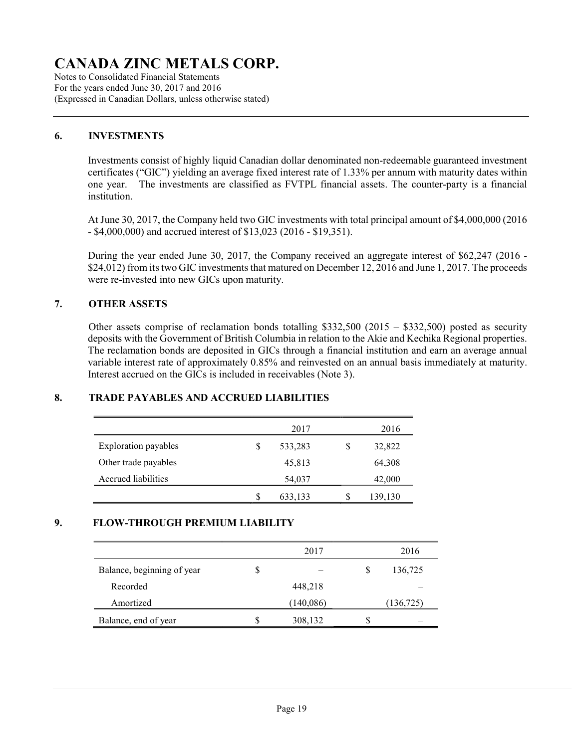Notes to Consolidated Financial Statements For the years ended June 30, 2017 and 2016 (Expressed in Canadian Dollars, unless otherwise stated)

### 6. INVESTMENTS

Investments consist of highly liquid Canadian dollar denominated non-redeemable guaranteed investment certificates ("GIC") yielding an average fixed interest rate of 1.33% per annum with maturity dates within one year. The investments are classified as FVTPL financial assets. The counter-party is a financial institution.

At June 30, 2017, the Company held two GIC investments with total principal amount of \$4,000,000 (2016 - \$4,000,000) and accrued interest of \$13,023 (2016 - \$19,351).

During the year ended June 30, 2017, the Company received an aggregate interest of \$62,247 (2016 - \$24,012) from its two GIC investments that matured on December 12, 2016 and June 1, 2017. The proceeds were re-invested into new GICs upon maturity.

### 7. OTHER ASSETS

Other assets comprise of reclamation bonds totalling \$332,500 (2015 – \$332,500) posted as security deposits with the Government of British Columbia in relation to the Akie and Kechika Regional properties. The reclamation bonds are deposited in GICs through a financial institution and earn an average annual variable interest rate of approximately 0.85% and reinvested on an annual basis immediately at maturity. Interest accrued on the GICs is included in receivables (Note 3).

### 8. TRADE PAYABLES AND ACCRUED LIABILITIES

|                             |   | 2017    |   | 2016    |
|-----------------------------|---|---------|---|---------|
| <b>Exploration payables</b> | S | 533,283 |   | 32,822  |
| Other trade payables        |   | 45,813  |   | 64,308  |
| Accrued liabilities         |   | 54,037  |   | 42,000  |
|                             | S | 633,133 | S | 139,130 |

### 9. FLOW-THROUGH PREMIUM LIABILITY

|                            | 2017      | 2016       |
|----------------------------|-----------|------------|
| Balance, beginning of year |           | 136,725    |
| Recorded                   | 448,218   |            |
| Amortized                  | (140,086) | (136, 725) |
| Balance, end of year       | 308,132   |            |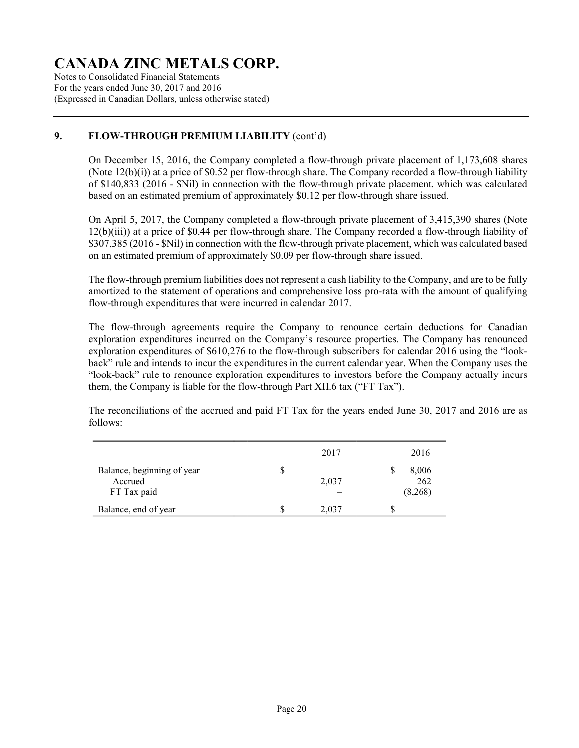Notes to Consolidated Financial Statements For the years ended June 30, 2017 and 2016 (Expressed in Canadian Dollars, unless otherwise stated)

### 9. FLOW-THROUGH PREMIUM LIABILITY (cont'd)

On December 15, 2016, the Company completed a flow-through private placement of 1,173,608 shares (Note 12(b)(i)) at a price of \$0.52 per flow-through share. The Company recorded a flow-through liability of \$140,833 (2016 - \$Nil) in connection with the flow-through private placement, which was calculated based on an estimated premium of approximately \$0.12 per flow-through share issued.

On April 5, 2017, the Company completed a flow-through private placement of 3,415,390 shares (Note 12(b)(iii)) at a price of \$0.44 per flow-through share. The Company recorded a flow-through liability of \$307,385 (2016 - \$Nil) in connection with the flow-through private placement, which was calculated based on an estimated premium of approximately \$0.09 per flow-through share issued.

The flow-through premium liabilities does not represent a cash liability to the Company, and are to be fully amortized to the statement of operations and comprehensive loss pro-rata with the amount of qualifying flow-through expenditures that were incurred in calendar 2017.

The flow-through agreements require the Company to renounce certain deductions for Canadian exploration expenditures incurred on the Company's resource properties. The Company has renounced exploration expenditures of \$610,276 to the flow-through subscribers for calendar 2016 using the "lookback" rule and intends to incur the expenditures in the current calendar year. When the Company uses the "look-back" rule to renounce exploration expenditures to investors before the Company actually incurs them, the Company is liable for the flow-through Part XII.6 tax ("FT Tax").

The reconciliations of the accrued and paid FT Tax for the years ended June 30, 2017 and 2016 are as follows:

|                            |   | 2017  | 2016     |
|----------------------------|---|-------|----------|
| Balance, beginning of year | S |       | 8,006    |
| Accrued                    |   | 2,037 | 262      |
| FT Tax paid                |   |       | (8, 268) |
| Balance, end of year       |   | 2.037 |          |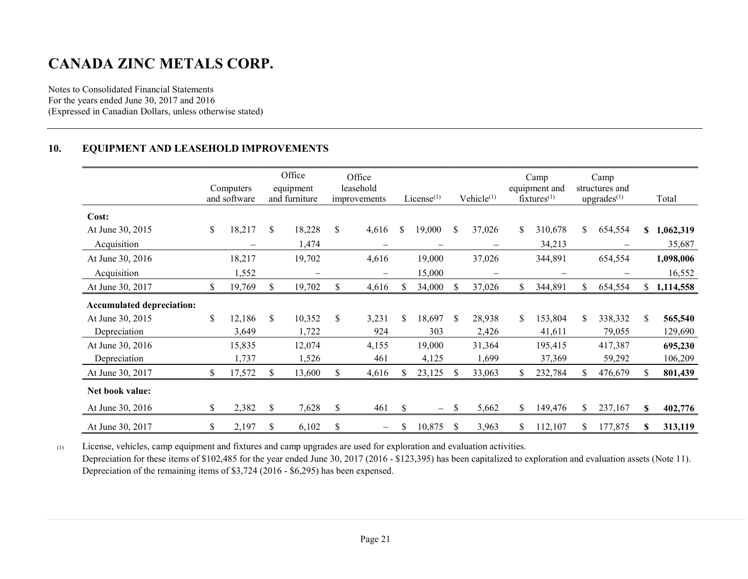Notes to Consolidated Financial Statements For the years ended June 30, 2017 and 2016 (Expressed in Canadian Dollars, unless otherwise stated)

### 10. EQUIPMENT AND LEASEHOLD IMPROVEMENTS

|                                  | Computers<br>and software |               | Office<br>equipment<br>and furniture |     | Office<br>leasehold<br>improvements |     | License $(1)$     |               | Vehicle <sup>(1)</sup>   |     | Camp<br>equipment and<br>$f$ ixtures $(1)$ |    | Camp<br>structures and<br>upgrades <sup>(1)</sup> |               | Total       |
|----------------------------------|---------------------------|---------------|--------------------------------------|-----|-------------------------------------|-----|-------------------|---------------|--------------------------|-----|--------------------------------------------|----|---------------------------------------------------|---------------|-------------|
| Cost:                            |                           |               |                                      |     |                                     |     |                   |               |                          |     |                                            |    |                                                   |               |             |
| At June 30, 2015                 | \$<br>18,217              | \$            | 18,228                               | \$  | 4,616                               | \$  | 19,000            | \$            | 37,026                   | \$  | 310,678                                    | S. | 654,554                                           | \$            | 1,062,319   |
| Acquisition                      |                           |               | 1,474                                |     |                                     |     |                   |               |                          |     | 34,213                                     |    |                                                   |               | 35,687      |
| At June 30, 2016                 | 18,217                    |               | 19,702                               |     | 4,616                               |     | 19,000            |               | 37,026                   |     | 344,891                                    |    | 654,554                                           |               | 1,098,006   |
| Acquisition                      | 1,552                     |               | $\overline{\phantom{m}}$             |     |                                     |     | 15,000            |               | $\overline{\phantom{m}}$ |     |                                            |    |                                                   |               | 16,552      |
| At June 30, 2017                 | \$<br>19,769              | \$            | 19,702                               | S   | 4,616                               | S   | 34,000            | <sup>\$</sup> | 37,026                   | \$  | 344,891                                    | S  | 654,554                                           |               | \$1,114,558 |
| <b>Accumulated depreciation:</b> |                           |               |                                      |     |                                     |     |                   |               |                          |     |                                            |    |                                                   |               |             |
| At June 30, 2015                 | \$<br>12,186              | \$.           | 10,352                               | \$. | 3,231                               | \$. | 18,697            | <sup>\$</sup> | 28,938                   | \$. | 153,804                                    | S. | 338,332                                           | <sup>\$</sup> | 565,540     |
| Depreciation                     | 3,649                     |               | 1,722                                |     | 924                                 |     | 303               |               | 2,426                    |     | 41,611                                     |    | 79,055                                            |               | 129,690     |
| At June 30, 2016                 | 15,835                    |               | 12,074                               |     | 4,155                               |     | 19,000            |               | 31,364                   |     | 195,415                                    |    | 417,387                                           |               | 695,230     |
| Depreciation                     | 1,737                     |               | 1,526                                |     | 461                                 |     | 4,125             |               | 1,699                    |     | 37,369                                     |    | 59,292                                            |               | 106,209     |
| At June 30, 2017                 | \$<br>17,572              | S             | 13,600                               | \$. | 4,616                               | \$  | 23,125            | <sup>\$</sup> | 33,063                   | \$  | 232,784                                    |    | 476,679                                           | S             | 801,439     |
| Net book value:                  |                           |               |                                      |     |                                     |     |                   |               |                          |     |                                            |    |                                                   |               |             |
| At June 30, 2016                 | \$<br>2,382               | <sup>\$</sup> | 7,628                                | S   | 461                                 | \$  | $\qquad \qquad -$ | <sup>S</sup>  | 5,662                    | \$  | 149,476                                    | S. | 237,167                                           | <b>S</b>      | 402,776     |
| At June 30, 2017                 | \$<br>2,197               | \$            | 6,102                                | \$  | $\qquad \qquad$                     | \$  | 10,875            | <sup>\$</sup> | 3,963                    | \$  | 112,107                                    | S. | 177,875                                           | S             | 313,119     |

(1) License, vehicles, camp equipment and fixtures and camp upgrades are used for exploration and evaluation activities. Depreciation for these items of \$102,485 for the year ended June 30, 2017 (2016 - \$123,395) has been capitalized to exploration and evaluation assets (Note 11). Depreciation of the remaining items of \$3,724 (2016 - \$6,295) has been expensed.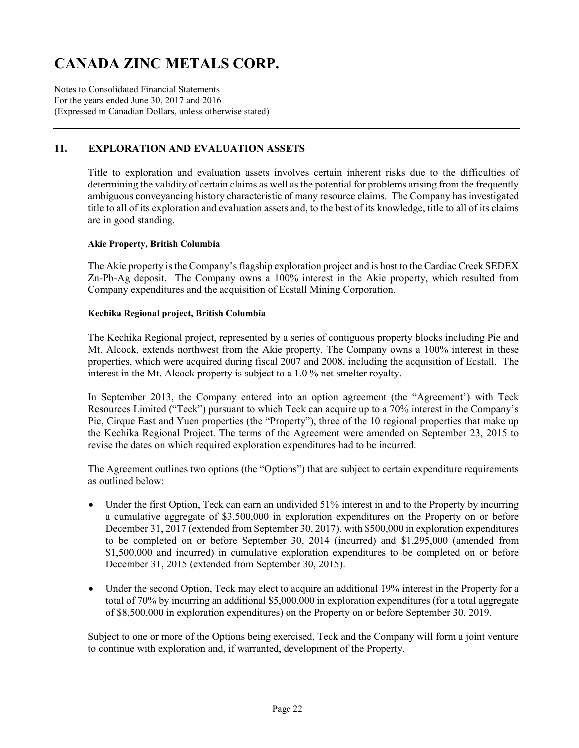Notes to Consolidated Financial Statements For the years ended June 30, 2017 and 2016 (Expressed in Canadian Dollars, unless otherwise stated)

### 11. EXPLORATION AND EVALUATION ASSETS

Title to exploration and evaluation assets involves certain inherent risks due to the difficulties of determining the validity of certain claims as well as the potential for problems arising from the frequently ambiguous conveyancing history characteristic of many resource claims. The Company has investigated title to all of its exploration and evaluation assets and, to the best of its knowledge, title to all of its claims are in good standing.

### Akie Property, British Columbia

The Akie property is the Company's flagship exploration project and is host to the Cardiac Creek SEDEX Zn-Pb-Ag deposit. The Company owns a 100% interest in the Akie property, which resulted from Company expenditures and the acquisition of Ecstall Mining Corporation.

### Kechika Regional project, British Columbia

The Kechika Regional project, represented by a series of contiguous property blocks including Pie and Mt. Alcock, extends northwest from the Akie property. The Company owns a 100% interest in these properties, which were acquired during fiscal 2007 and 2008, including the acquisition of Ecstall. The interest in the Mt. Alcock property is subject to a 1.0 % net smelter royalty.

In September 2013, the Company entered into an option agreement (the "Agreement') with Teck Resources Limited ("Teck") pursuant to which Teck can acquire up to a 70% interest in the Company's Pie, Cirque East and Yuen properties (the "Property"), three of the 10 regional properties that make up the Kechika Regional Project. The terms of the Agreement were amended on September 23, 2015 to revise the dates on which required exploration expenditures had to be incurred.

The Agreement outlines two options (the "Options") that are subject to certain expenditure requirements as outlined below:

- Under the first Option, Teck can earn an undivided 51% interest in and to the Property by incurring a cumulative aggregate of \$3,500,000 in exploration expenditures on the Property on or before December 31, 2017 (extended from September 30, 2017), with \$500,000 in exploration expenditures to be completed on or before September 30, 2014 (incurred) and \$1,295,000 (amended from \$1,500,000 and incurred) in cumulative exploration expenditures to be completed on or before December 31, 2015 (extended from September 30, 2015).
- Under the second Option, Teck may elect to acquire an additional 19% interest in the Property for a total of 70% by incurring an additional \$5,000,000 in exploration expenditures (for a total aggregate of \$8,500,000 in exploration expenditures) on the Property on or before September 30, 2019.

Subject to one or more of the Options being exercised, Teck and the Company will form a joint venture to continue with exploration and, if warranted, development of the Property.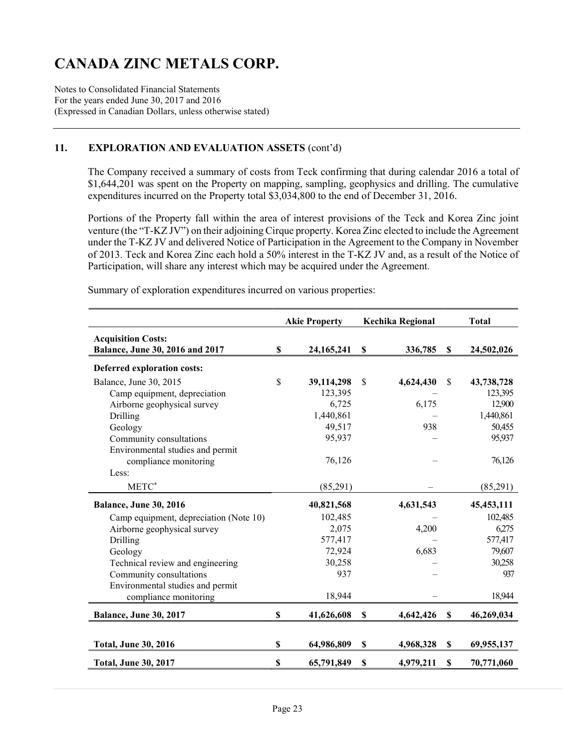Notes to Consolidated Financial Statements For the years ended June 30, 2017 and 2016 (Expressed in Canadian Dollars, unless otherwise stated)

### 11. EXPLORATION AND EVALUATION ASSETS (cont'd)

The Company received a summary of costs from Teck confirming that during calendar 2016 a total of \$1,644,201 was spent on the Property on mapping, sampling, geophysics and drilling. The cumulative expenditures incurred on the Property total \$3,034,800 to the end of December 31, 2016.

Portions of the Property fall within the area of interest provisions of the Teck and Korea Zinc joint venture (the "T-KZ JV") on their adjoining Cirque property. Korea Zinc elected to include the Agreement under the T-KZ JV and delivered Notice of Participation in the Agreement to the Company in November of 2013. Teck and Korea Zinc each hold a 50% interest in the T-KZ JV and, as a result of the Notice of Participation, will share any interest which may be acquired under the Agreement.

|                                                              |    | <b>Akie Property</b> | Kechika Regional |     | <b>Total</b> |
|--------------------------------------------------------------|----|----------------------|------------------|-----|--------------|
| <b>Acquisition Costs:</b><br>Balance, June 30, 2016 and 2017 | \$ | 24,165,241           | \$<br>336,785    | \$  | 24,502,026   |
|                                                              |    |                      |                  |     |              |
| Deferred exploration costs:                                  |    |                      |                  |     |              |
| Balance, June 30, 2015                                       | \$ | 39,114,298           | \$<br>4,624,430  | \$. | 43,738,728   |
| Camp equipment, depreciation                                 |    | 123,395              |                  |     | 123,395      |
| Airborne geophysical survey                                  |    | 6,725                | 6,175            |     | 12,900       |
| Drilling                                                     |    | 1,440,861            |                  |     | 1,440,861    |
| Geology                                                      |    | 49,517               | 938              |     | 50,455       |
| Community consultations                                      |    | 95,937               |                  |     | 95,937       |
| Environmental studies and permit                             |    |                      |                  |     |              |
| compliance monitoring                                        |    | 76,126               |                  |     | 76,126       |
| Less:                                                        |    |                      |                  |     |              |
| $METC^*$                                                     |    | (85,291)             |                  |     | (85,291)     |
| <b>Balance, June 30, 2016</b>                                |    | 40,821,568           | 4,631,543        |     | 45,453,111   |
| Camp equipment, depreciation (Note 10)                       |    | 102,485              |                  |     | 102,485      |
| Airborne geophysical survey                                  |    | 2,075                | 4,200            |     | 6,275        |
| Drilling                                                     |    | 577,417              |                  |     | 577,417      |
| Geology                                                      |    | 72,924               | 6,683            |     | 79,607       |
| Technical review and engineering                             |    | 30,258               |                  |     | 30,258       |
| Community consultations                                      |    | 937                  |                  |     | 937          |
| Environmental studies and permit                             |    |                      |                  |     |              |
| compliance monitoring                                        |    | 18,944               |                  |     | 18,944       |
| <b>Balance, June 30, 2017</b>                                | \$ | 41,626,608           | \$<br>4,642,426  | \$  | 46,269,034   |
|                                                              |    |                      |                  |     |              |
| <b>Total, June 30, 2016</b>                                  | S  | 64,986,809           | \$<br>4,968,328  | S   | 69,955,137   |
| <b>Total, June 30, 2017</b>                                  | \$ | 65,791,849           | \$<br>4,979,211  | S   | 70,771,060   |

Summary of exploration expenditures incurred on various properties: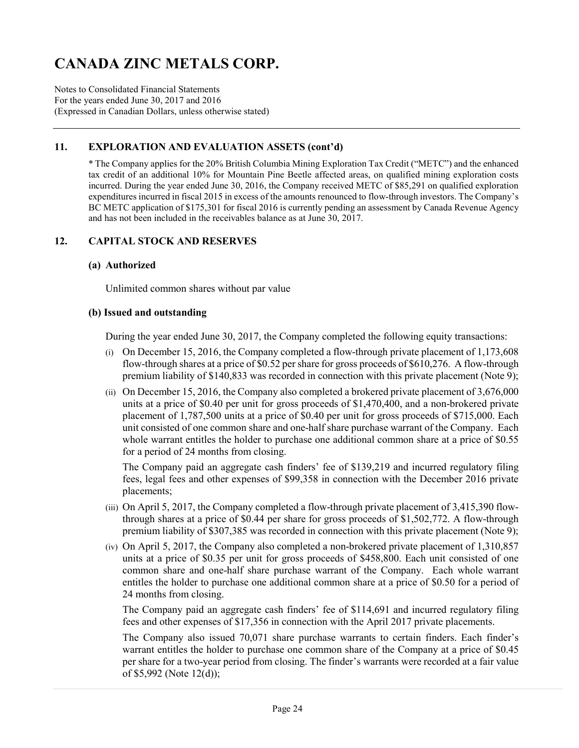Notes to Consolidated Financial Statements For the years ended June 30, 2017 and 2016 (Expressed in Canadian Dollars, unless otherwise stated)

### 11. EXPLORATION AND EVALUATION ASSETS (cont'd)

\* The Company applies for the 20% British Columbia Mining Exploration Tax Credit ("METC") and the enhanced tax credit of an additional 10% for Mountain Pine Beetle affected areas, on qualified mining exploration costs incurred. During the year ended June 30, 2016, the Company received METC of \$85,291 on qualified exploration expenditures incurred in fiscal 2015 in excess of the amounts renounced to flow-through investors. The Company's BC METC application of \$175,301 for fiscal 2016 is currently pending an assessment by Canada Revenue Agency and has not been included in the receivables balance as at June 30, 2017.

### 12. CAPITAL STOCK AND RESERVES

#### (a) Authorized

Unlimited common shares without par value

#### (b) Issued and outstanding

During the year ended June 30, 2017, the Company completed the following equity transactions:

- (i) On December 15, 2016, the Company completed a flow-through private placement of 1,173,608 flow-through shares at a price of \$0.52 per share for gross proceeds of \$610,276. A flow-through premium liability of \$140,833 was recorded in connection with this private placement (Note 9);
- (ii) On December 15, 2016, the Company also completed a brokered private placement of 3,676,000 units at a price of \$0.40 per unit for gross proceeds of \$1,470,400, and a non-brokered private placement of 1,787,500 units at a price of \$0.40 per unit for gross proceeds of \$715,000. Each unit consisted of one common share and one-half share purchase warrant of the Company. Each whole warrant entitles the holder to purchase one additional common share at a price of \$0.55 for a period of 24 months from closing.

The Company paid an aggregate cash finders' fee of \$139,219 and incurred regulatory filing fees, legal fees and other expenses of \$99,358 in connection with the December 2016 private placements;

- (iii) On April 5, 2017, the Company completed a flow-through private placement of 3,415,390 flowthrough shares at a price of \$0.44 per share for gross proceeds of \$1,502,772. A flow-through premium liability of \$307,385 was recorded in connection with this private placement (Note 9);
- (iv) On April 5, 2017, the Company also completed a non-brokered private placement of 1,310,857 units at a price of \$0.35 per unit for gross proceeds of \$458,800. Each unit consisted of one common share and one-half share purchase warrant of the Company. Each whole warrant entitles the holder to purchase one additional common share at a price of \$0.50 for a period of 24 months from closing.

The Company paid an aggregate cash finders' fee of \$114,691 and incurred regulatory filing fees and other expenses of \$17,356 in connection with the April 2017 private placements.

The Company also issued 70,071 share purchase warrants to certain finders. Each finder's warrant entitles the holder to purchase one common share of the Company at a price of \$0.45 per share for a two-year period from closing. The finder's warrants were recorded at a fair value of \$5,992 (Note 12(d));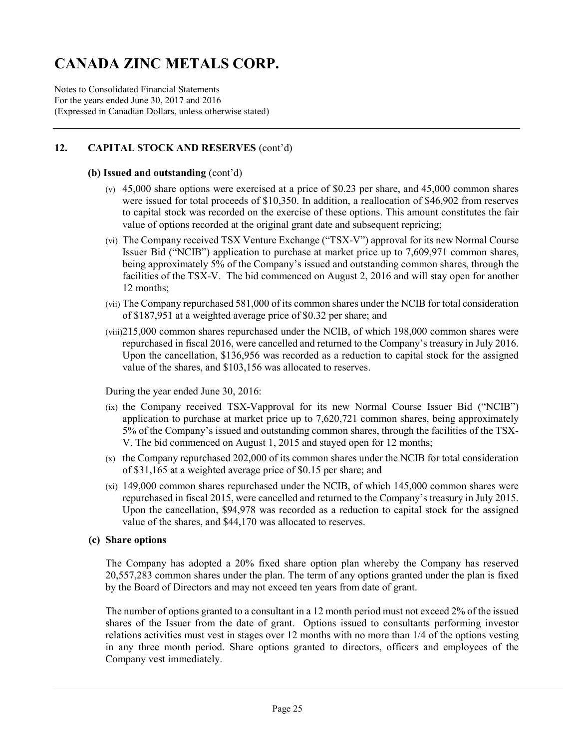Notes to Consolidated Financial Statements For the years ended June 30, 2017 and 2016 (Expressed in Canadian Dollars, unless otherwise stated)

### 12. CAPITAL STOCK AND RESERVES (cont'd)

### (b) Issued and outstanding (cont'd)

- (v) 45,000 share options were exercised at a price of \$0.23 per share, and 45,000 common shares were issued for total proceeds of \$10,350. In addition, a reallocation of \$46,902 from reserves to capital stock was recorded on the exercise of these options. This amount constitutes the fair value of options recorded at the original grant date and subsequent repricing;
- (vi) The Company received TSX Venture Exchange ("TSX-V") approval for its new Normal Course Issuer Bid ("NCIB") application to purchase at market price up to 7,609,971 common shares, being approximately 5% of the Company's issued and outstanding common shares, through the facilities of the TSX-V. The bid commenced on August 2, 2016 and will stay open for another 12 months;
- (vii) The Company repurchased 581,000 of its common shares under the NCIB for total consideration of \$187,951 at a weighted average price of \$0.32 per share; and
- (viii)215,000 common shares repurchased under the NCIB, of which 198,000 common shares were repurchased in fiscal 2016, were cancelled and returned to the Company's treasury in July 2016. Upon the cancellation, \$136,956 was recorded as a reduction to capital stock for the assigned value of the shares, and \$103,156 was allocated to reserves.

During the year ended June 30, 2016:

- (ix) the Company received TSX-Vapproval for its new Normal Course Issuer Bid ("NCIB") application to purchase at market price up to 7,620,721 common shares, being approximately 5% of the Company's issued and outstanding common shares, through the facilities of the TSX-V. The bid commenced on August 1, 2015 and stayed open for 12 months;
- (x) the Company repurchased 202,000 of its common shares under the NCIB for total consideration of \$31,165 at a weighted average price of \$0.15 per share; and
- (xi) 149,000 common shares repurchased under the NCIB, of which 145,000 common shares were repurchased in fiscal 2015, were cancelled and returned to the Company's treasury in July 2015. Upon the cancellation, \$94,978 was recorded as a reduction to capital stock for the assigned value of the shares, and \$44,170 was allocated to reserves.

### (c) Share options

 The Company has adopted a 20% fixed share option plan whereby the Company has reserved 20,557,283 common shares under the plan. The term of any options granted under the plan is fixed by the Board of Directors and may not exceed ten years from date of grant.

 The number of options granted to a consultant in a 12 month period must not exceed 2% of the issued shares of the Issuer from the date of grant. Options issued to consultants performing investor relations activities must vest in stages over 12 months with no more than 1/4 of the options vesting in any three month period. Share options granted to directors, officers and employees of the Company vest immediately.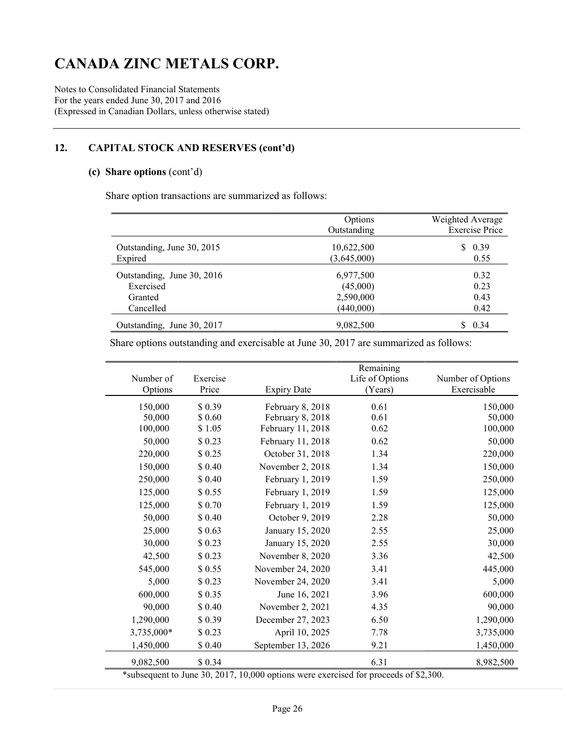Notes to Consolidated Financial Statements For the years ended June 30, 2017 and 2016 (Expressed in Canadian Dollars, unless otherwise stated)

### 12. CAPITAL STOCK AND RESERVES (cont'd)

### (c) Share options (cont'd)

Share option transactions are summarized as follows:

|                            | Options<br>Outstanding | Weighted Average<br><b>Exercise Price</b> |
|----------------------------|------------------------|-------------------------------------------|
| Outstanding, June 30, 2015 | 10,622,500             | 0.39                                      |
| Expired                    | (3,645,000)            | 0.55                                      |
| Outstanding, June 30, 2016 | 6,977,500              | 0.32                                      |
| Exercised                  | (45,000)               | 0.23                                      |
| Granted                    | 2,590,000              | 0.43                                      |
| Cancelled                  | (440,000)              | 0.42                                      |
| Outstanding, June 30, 2017 | 9,082,500              | 0.34                                      |

Share options outstanding and exercisable at June 30, 2017 are summarized as follows:

|                      |                   |                    | Remaining                  |                                  |
|----------------------|-------------------|--------------------|----------------------------|----------------------------------|
| Number of<br>Options | Exercise<br>Price |                    | Life of Options<br>(Years) | Number of Options<br>Exercisable |
|                      |                   | <b>Expiry Date</b> |                            |                                  |
| 150,000              | \$0.39            | February 8, 2018   | 0.61                       | 150,000                          |
| 50,000               | \$0.60            | February 8, 2018   | 0.61                       | 50,000                           |
| 100,000              | \$1.05            | February 11, 2018  | 0.62                       | 100,000                          |
| 50,000               | \$0.23            | February 11, 2018  | 0.62                       | 50,000                           |
| 220,000              | \$0.25            | October 31, 2018   | 1.34                       | 220,000                          |
| 150,000              | \$0.40            | November 2, 2018   | 1.34                       | 150,000                          |
| 250,000              | \$0.40            | February 1, 2019   | 1.59                       | 250,000                          |
| 125,000              | \$0.55            | February 1, 2019   | 1.59                       | 125,000                          |
| 125,000              | \$0.70            | February 1, 2019   | 1.59                       | 125,000                          |
| 50,000               | \$0.40            | October 9, 2019    | 2.28                       | 50,000                           |
| 25,000               | \$0.63            | January 15, 2020   | 2.55                       | 25,000                           |
| 30,000               | \$0.23            | January 15, 2020   | 2.55                       | 30,000                           |
| 42,500               | \$0.23            | November 8, 2020   | 3.36                       | 42,500                           |
| 545,000              | \$0.55            | November 24, 2020  | 3.41                       | 445,000                          |
| 5,000                | \$0.23            | November 24, 2020  | 3.41                       | 5,000                            |
| 600,000              | \$0.35            | June 16, 2021      | 3.96                       | 600,000                          |
| 90,000               | \$0.40            | November 2, 2021   | 4.35                       | 90,000                           |
| 1,290,000            | \$0.39            | December 27, 2023  | 6.50                       | 1,290,000                        |
| 3,735,000*           | \$0.23            | April 10, 2025     | 7.78                       | 3,735,000                        |
| 1,450,000            | \$ 0.40           | September 13, 2026 | 9.21                       | 1,450,000                        |
| 9,082,500            | \$0.34            |                    | 6.31                       | 8,982,500                        |

\*subsequent to June 30, 2017, 10,000 options were exercised for proceeds of \$2,300.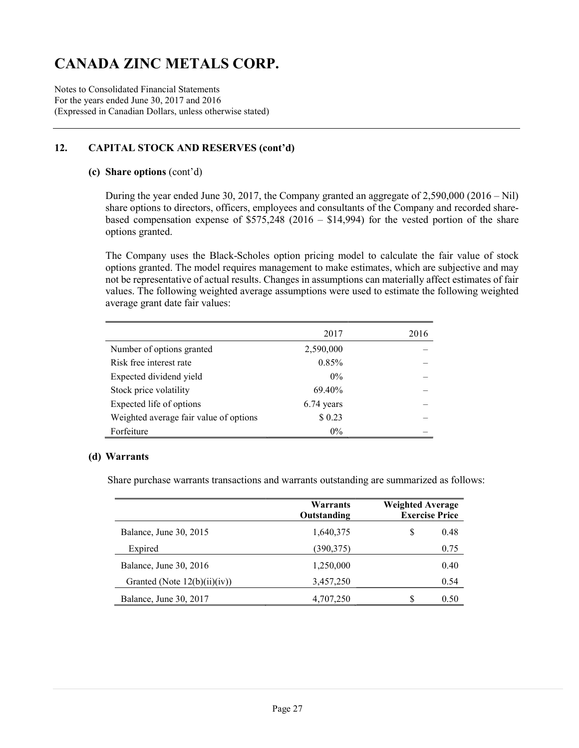Notes to Consolidated Financial Statements For the years ended June 30, 2017 and 2016 (Expressed in Canadian Dollars, unless otherwise stated)

### 12. CAPITAL STOCK AND RESERVES (cont'd)

### (c) Share options (cont'd)

During the year ended June 30, 2017, the Company granted an aggregate of  $2,590,000$  (2016 – Nil) share options to directors, officers, employees and consultants of the Company and recorded sharebased compensation expense of  $$575,248$  (2016 –  $$14,994$ ) for the vested portion of the share options granted.

The Company uses the Black-Scholes option pricing model to calculate the fair value of stock options granted. The model requires management to make estimates, which are subjective and may not be representative of actual results. Changes in assumptions can materially affect estimates of fair values. The following weighted average assumptions were used to estimate the following weighted average grant date fair values:

|                                        | 2017       | 2016 |
|----------------------------------------|------------|------|
| Number of options granted              | 2,590,000  |      |
| Risk free interest rate                | 0.85%      |      |
| Expected dividend yield                | $0\%$      |      |
| Stock price volatility                 | 69.40%     |      |
| Expected life of options               | 6.74 years |      |
| Weighted average fair value of options | \$0.23     |      |
| Forfeiture                             | $0\%$      |      |

### (d) Warrants

Share purchase warrants transactions and warrants outstanding are summarized as follows:

|                                 | Warrants<br>Outstanding | <b>Weighted Average</b><br><b>Exercise Price</b> |      |
|---------------------------------|-------------------------|--------------------------------------------------|------|
| Balance, June 30, 2015          | 1,640,375               | S                                                | 0.48 |
| Expired                         | (390, 375)              |                                                  | 0.75 |
| Balance, June 30, 2016          | 1,250,000               |                                                  | 0.40 |
| Granted (Note $12(b)(ii)(iv)$ ) | 3,457,250               |                                                  | 0.54 |
| Balance, June 30, 2017          | 4,707,250               | \$                                               | 0.50 |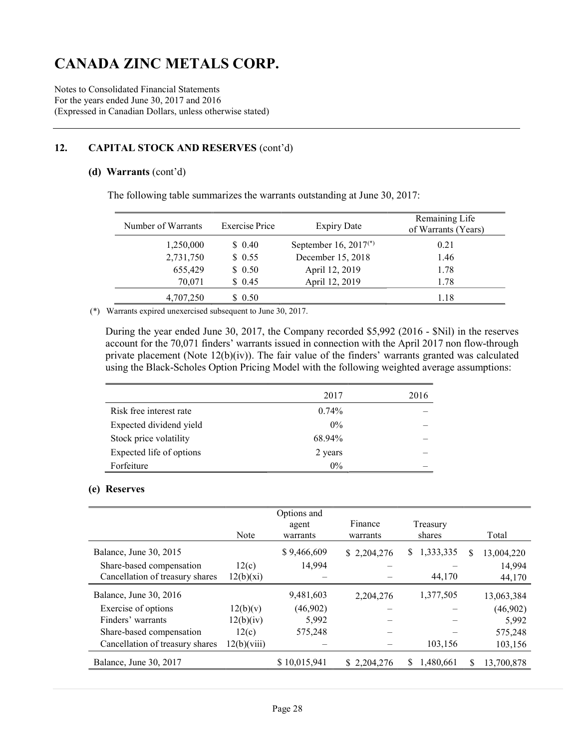Notes to Consolidated Financial Statements For the years ended June 30, 2017 and 2016 (Expressed in Canadian Dollars, unless otherwise stated)

### 12. CAPITAL STOCK AND RESERVES (cont'd)

### (d) Warrants (cont'd)

The following table summarizes the warrants outstanding at June 30, 2017:

| Number of Warrants | <b>Exercise Price</b> | <b>Expiry Date</b>                  | Remaining Life<br>of Warrants (Years) |
|--------------------|-----------------------|-------------------------------------|---------------------------------------|
| 1,250,000          | \$0.40                | September 16, $2017$ <sup>(*)</sup> | 0.21                                  |
| 2,731,750          | \$0.55                | December 15, 2018                   | 1.46                                  |
| 655,429            | \$0.50                | April 12, 2019                      | 1.78                                  |
| 70,071             | \$0.45                | April 12, 2019                      | 1.78                                  |
| 4,707,250          | \$0.50                |                                     | 1.18                                  |

(\*) Warrants expired unexercised subsequent to June 30, 2017.

During the year ended June 30, 2017, the Company recorded \$5,992 (2016 - \$Nil) in the reserves account for the 70,071 finders' warrants issued in connection with the April 2017 non flow-through private placement (Note 12(b)(iv)). The fair value of the finders' warrants granted was calculated using the Black-Scholes Option Pricing Model with the following weighted average assumptions:

|                          | 2017    | 2016 |
|--------------------------|---------|------|
| Risk free interest rate  | 0.74%   |      |
| Expected dividend yield  | $0\%$   |      |
| Stock price volatility   | 68.94%  |      |
| Expected life of options | 2 years |      |
| Forfeiture               | 0%      |      |

### (e) Reserves

| Note                            |             | Options and<br>agent<br>warrants | Finance<br>warrants | Treasury<br>shares | Total |            |  |
|---------------------------------|-------------|----------------------------------|---------------------|--------------------|-------|------------|--|
| Balance, June 30, 2015          |             | \$9,466,609                      | \$2,204,276         | 1,333,335<br>S     | S     | 13,004,220 |  |
| Share-based compensation        | 12(c)       | 14,994                           |                     |                    |       | 14.994     |  |
| Cancellation of treasury shares | 12(b)(xi)   |                                  |                     | 44,170             |       | 44,170     |  |
| Balance, June 30, 2016          |             | 9,481,603                        | 2,204,276           | 1,377,505          |       | 13,063,384 |  |
| Exercise of options             | 12(b)(v)    | (46,902)                         |                     |                    |       | (46,902)   |  |
| Finders' warrants               | 12(b)(iv)   | 5,992                            |                     |                    |       | 5,992      |  |
| Share-based compensation        | 12(c)       | 575,248                          |                     |                    |       | 575,248    |  |
| Cancellation of treasury shares | 12(b)(viii) |                                  |                     | 103,156            |       | 103,156    |  |
| Balance, June 30, 2017          |             | \$10,015,941                     | \$2,204,276         | 1,480,661<br>S.    |       | 13,700,878 |  |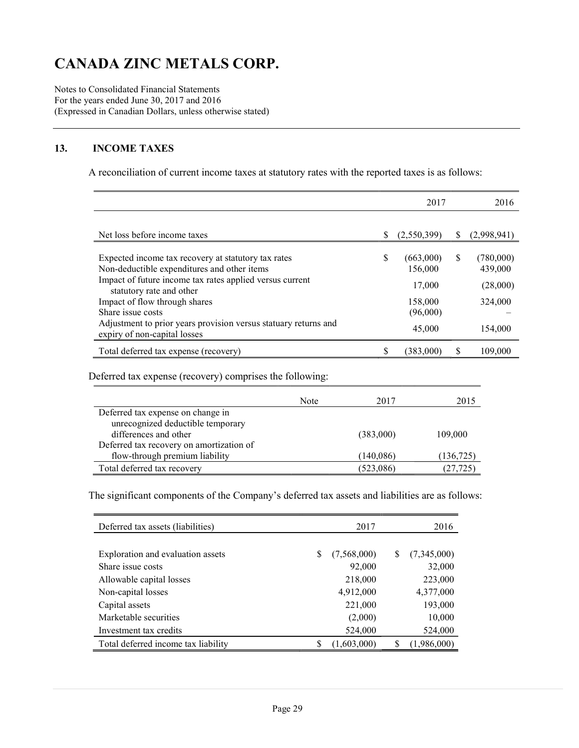Notes to Consolidated Financial Statements For the years ended June 30, 2017 and 2016 (Expressed in Canadian Dollars, unless otherwise stated)

### 13. INCOME TAXES

A reconciliation of current income taxes at statutory rates with the reported taxes is as follows:

|                                                                                                                                     | 2017                |              | 2016                |
|-------------------------------------------------------------------------------------------------------------------------------------|---------------------|--------------|---------------------|
|                                                                                                                                     |                     |              |                     |
| Net loss before income taxes                                                                                                        | \$<br>(2,550,399)   | <sup>S</sup> | (2,998,941)         |
| Expected income tax recovery at statutory tax rates                                                                                 | \$<br>(663,000)     | S            | (780,000)           |
| Non-deductible expenditures and other items<br>Impact of future income tax rates applied versus current<br>statutory rate and other | 156,000<br>17,000   |              | 439,000<br>(28,000) |
| Impact of flow through shares<br>Share issue costs                                                                                  | 158,000<br>(96,000) |              | 324,000             |
| Adjustment to prior years provision versus statuary returns and<br>expiry of non-capital losses                                     | 45,000              |              | 154,000             |
| Total deferred tax expense (recovery)                                                                                               | \$<br>(383,000)     | \$           | 109,000             |

Deferred tax expense (recovery) comprises the following:

|                                          | Note | 2017      | 2015       |
|------------------------------------------|------|-----------|------------|
| Deferred tax expense on change in        |      |           |            |
| unrecognized deductible temporary        |      |           |            |
| differences and other                    |      | (383,000) | 109,000    |
| Deferred tax recovery on amortization of |      |           |            |
| flow-through premium liability           |      | (140,086) | (136, 725) |
| Total deferred tax recovery              |      | (523,086) | (27,725)   |

The significant components of the Company's deferred tax assets and liabilities are as follows:

| Deferred tax assets (liabilities)   |    | 2017        |    | 2016        |
|-------------------------------------|----|-------------|----|-------------|
|                                     |    |             |    |             |
| Exploration and evaluation assets   | S  | (7,568,000) | S  | (7,345,000) |
| Share issue costs                   |    | 92,000      |    | 32,000      |
| Allowable capital losses            |    | 218,000     |    | 223,000     |
| Non-capital losses                  |    | 4,912,000   |    | 4,377,000   |
| Capital assets                      |    | 221,000     |    | 193,000     |
| Marketable securities               |    | (2,000)     |    | 10,000      |
| Investment tax credits              |    | 524,000     |    | 524,000     |
| Total deferred income tax liability | \$ | (1,603,000) | \$ | (1,986,000) |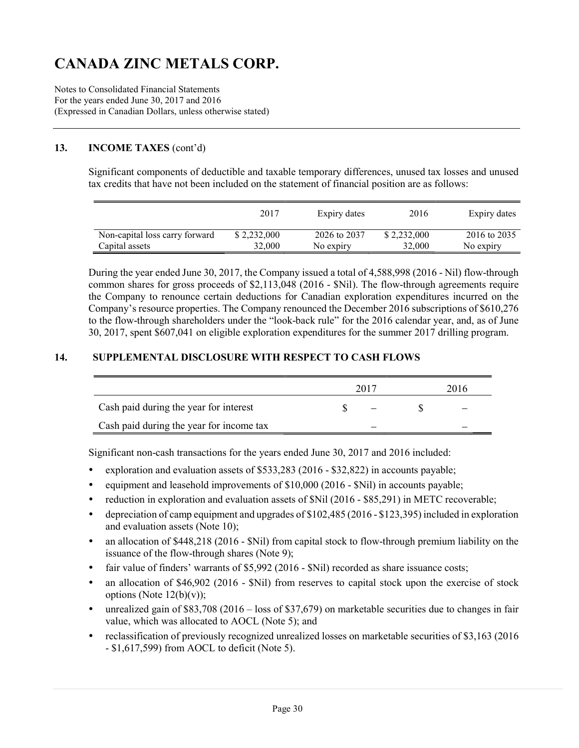Notes to Consolidated Financial Statements For the years ended June 30, 2017 and 2016 (Expressed in Canadian Dollars, unless otherwise stated)

### 13. INCOME TAXES (cont'd)

Significant components of deductible and taxable temporary differences, unused tax losses and unused tax credits that have not been included on the statement of financial position are as follows:

|                                | 2017        | Expiry dates | 2016        | Expiry dates |
|--------------------------------|-------------|--------------|-------------|--------------|
| Non-capital loss carry forward | \$2,232,000 | 2026 to 2037 | \$2,232,000 | 2016 to 2035 |
| Capital assets                 | 32,000      | No expiry    | 32,000      | No expiry    |

During the year ended June 30, 2017, the Company issued a total of 4,588,998 (2016 - Nil) flow-through common shares for gross proceeds of \$2,113,048 (2016 - \$Nil). The flow-through agreements require the Company to renounce certain deductions for Canadian exploration expenditures incurred on the Company's resource properties. The Company renounced the December 2016 subscriptions of \$610,276 to the flow-through shareholders under the "look-back rule" for the 2016 calendar year, and, as of June 30, 2017, spent \$607,041 on eligible exploration expenditures for the summer 2017 drilling program.

### 14. SUPPLEMENTAL DISCLOSURE WITH RESPECT TO CASH FLOWS

|                                          | 2017 | 2016 |  |
|------------------------------------------|------|------|--|
| Cash paid during the year for interest   |      |      |  |
| Cash paid during the year for income tax |      |      |  |

Significant non-cash transactions for the years ended June 30, 2017 and 2016 included:

- exploration and evaluation assets of \$533,283 (2016 \$32,822) in accounts payable;
- equipment and leasehold improvements of  $$10,000$  (2016  $$Nil$ ) in accounts payable;
- reduction in exploration and evaluation assets of \$Nil (2016 \$85,291) in METC recoverable;
- depreciation of camp equipment and upgrades of \$102,485 (2016 \$123,395) included in exploration and evaluation assets (Note 10);
- an allocation of \$448,218 (2016 \$Nil) from capital stock to flow-through premium liability on the issuance of the flow-through shares (Note 9);
- fair value of finders' warrants of \$5,992 (2016 \$Nil) recorded as share issuance costs;
- an allocation of \$46,902 (2016 \$Nil) from reserves to capital stock upon the exercise of stock options (Note  $12(b)(v)$ );
- unrealized gain of  $$83,708$  (2016 loss of  $$37,679$ ) on marketable securities due to changes in fair value, which was allocated to AOCL (Note 5); and
- reclassification of previously recognized unrealized losses on marketable securities of \$3,163 (2016 - \$1,617,599) from AOCL to deficit (Note 5).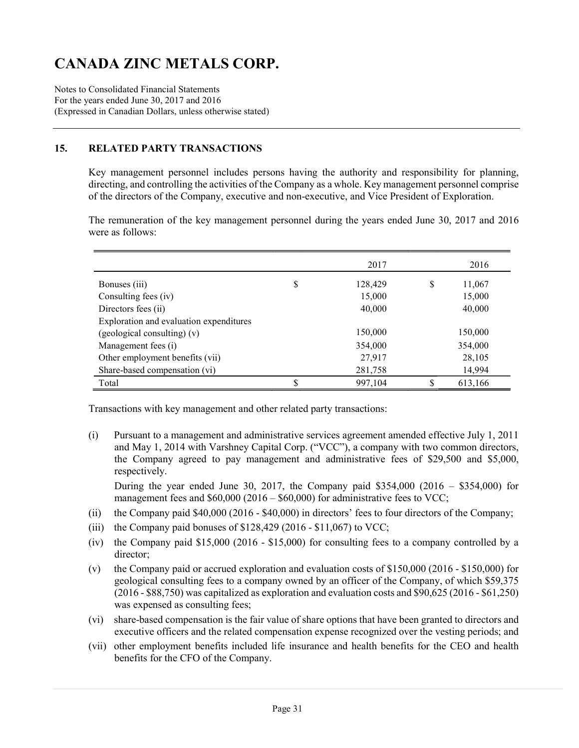Notes to Consolidated Financial Statements For the years ended June 30, 2017 and 2016 (Expressed in Canadian Dollars, unless otherwise stated)

### 15. RELATED PARTY TRANSACTIONS

Key management personnel includes persons having the authority and responsibility for planning, directing, and controlling the activities of the Company as a whole. Key management personnel comprise of the directors of the Company, executive and non-executive, and Vice President of Exploration.

The remuneration of the key management personnel during the years ended June 30, 2017 and 2016 were as follows:

|                                         | 2017          | 2016          |
|-----------------------------------------|---------------|---------------|
| Bonuses (iii)                           | \$<br>128,429 | \$<br>11,067  |
| Consulting fees (iv)                    | 15,000        | 15,000        |
| Directors fees (ii)                     | 40,000        | 40,000        |
| Exploration and evaluation expenditures |               |               |
| (geological consulting) (v)             | 150,000       | 150,000       |
| Management fees (i)                     | 354,000       | 354,000       |
| Other employment benefits (vii)         | 27,917        | 28,105        |
| Share-based compensation (vi)           | 281,758       | 14,994        |
| Total                                   | \$<br>997,104 | \$<br>613,166 |

Transactions with key management and other related party transactions:

(i) Pursuant to a management and administrative services agreement amended effective July 1, 2011 and May 1, 2014 with Varshney Capital Corp. ("VCC"), a company with two common directors, the Company agreed to pay management and administrative fees of \$29,500 and \$5,000, respectively.

During the year ended June 30, 2017, the Company paid  $$354,000$  (2016 –  $$354,000$ ) for management fees and \$60,000 (2016 – \$60,000) for administrative fees to VCC;

- (ii) the Company paid \$40,000 (2016 \$40,000) in directors' fees to four directors of the Company;
- (iii) the Company paid bonuses of  $$128,429$  (2016  $$11,067$ ) to VCC;
- (iv) the Company paid \$15,000 (2016 \$15,000) for consulting fees to a company controlled by a director;
- (v) the Company paid or accrued exploration and evaluation costs of \$150,000 (2016 \$150,000) for geological consulting fees to a company owned by an officer of the Company, of which \$59,375 (2016 - \$88,750) was capitalized as exploration and evaluation costs and \$90,625 (2016 - \$61,250) was expensed as consulting fees;
- (vi) share-based compensation is the fair value of share options that have been granted to directors and executive officers and the related compensation expense recognized over the vesting periods; and
- (vii) other employment benefits included life insurance and health benefits for the CEO and health benefits for the CFO of the Company.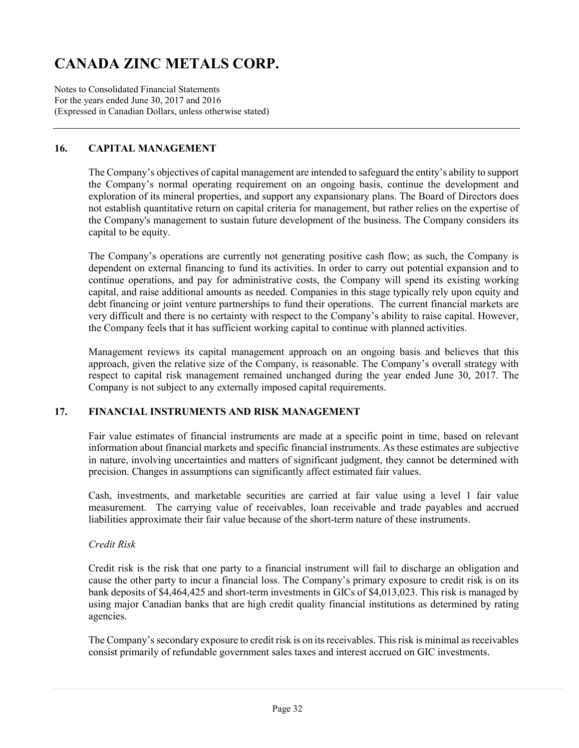Notes to Consolidated Financial Statements For the years ended June 30, 2017 and 2016 (Expressed in Canadian Dollars, unless otherwise stated)

### 16. CAPITAL MANAGEMENT

The Company's objectives of capital management are intended to safeguard the entity's ability to support the Company's normal operating requirement on an ongoing basis, continue the development and exploration of its mineral properties, and support any expansionary plans. The Board of Directors does not establish quantitative return on capital criteria for management, but rather relies on the expertise of the Company's management to sustain future development of the business. The Company considers its capital to be equity.

The Company's operations are currently not generating positive cash flow; as such, the Company is dependent on external financing to fund its activities. In order to carry out potential expansion and to continue operations, and pay for administrative costs, the Company will spend its existing working capital, and raise additional amounts as needed. Companies in this stage typically rely upon equity and debt financing or joint venture partnerships to fund their operations. The current financial markets are very difficult and there is no certainty with respect to the Company's ability to raise capital. However, the Company feels that it has sufficient working capital to continue with planned activities.

Management reviews its capital management approach on an ongoing basis and believes that this approach, given the relative size of the Company, is reasonable. The Company's overall strategy with respect to capital risk management remained unchanged during the year ended June 30, 2017. The Company is not subject to any externally imposed capital requirements.

### 17. FINANCIAL INSTRUMENTS AND RISK MANAGEMENT

Fair value estimates of financial instruments are made at a specific point in time, based on relevant information about financial markets and specific financial instruments. As these estimates are subjective in nature, involving uncertainties and matters of significant judgment, they cannot be determined with precision. Changes in assumptions can significantly affect estimated fair values.

Cash, investments, and marketable securities are carried at fair value using a level 1 fair value measurement. The carrying value of receivables, loan receivable and trade payables and accrued liabilities approximate their fair value because of the short-term nature of these instruments.

### Credit Risk

Credit risk is the risk that one party to a financial instrument will fail to discharge an obligation and cause the other party to incur a financial loss. The Company's primary exposure to credit risk is on its bank deposits of \$4,464,425 and short-term investments in GICs of \$4,013,023. This risk is managed by using major Canadian banks that are high credit quality financial institutions as determined by rating agencies.

The Company's secondary exposure to credit risk is on its receivables. This risk is minimal as receivables consist primarily of refundable government sales taxes and interest accrued on GIC investments.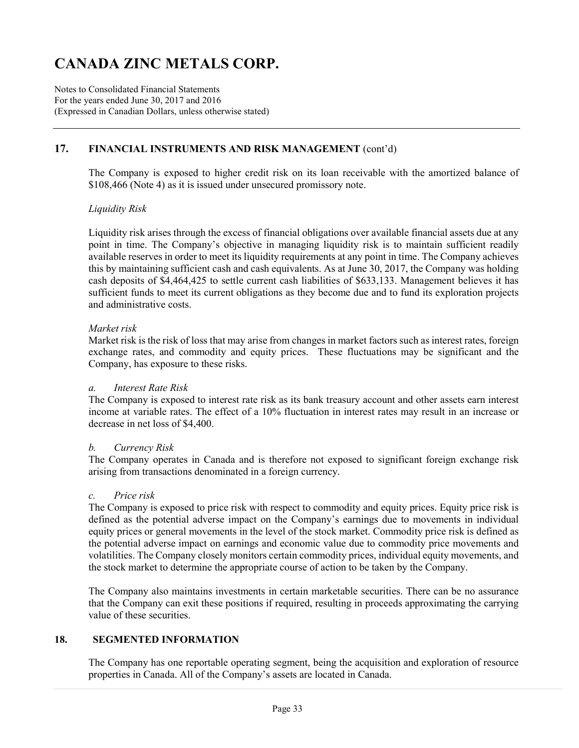Notes to Consolidated Financial Statements For the years ended June 30, 2017 and 2016 (Expressed in Canadian Dollars, unless otherwise stated)

### 17. FINANCIAL INSTRUMENTS AND RISK MANAGEMENT (cont'd)

The Company is exposed to higher credit risk on its loan receivable with the amortized balance of \$108,466 (Note 4) as it is issued under unsecured promissory note.

### Liquidity Risk

Liquidity risk arises through the excess of financial obligations over available financial assets due at any point in time. The Company's objective in managing liquidity risk is to maintain sufficient readily available reserves in order to meet its liquidity requirements at any point in time. The Company achieves this by maintaining sufficient cash and cash equivalents. As at June 30, 2017, the Company was holding cash deposits of \$4,464,425 to settle current cash liabilities of \$633,133. Management believes it has sufficient funds to meet its current obligations as they become due and to fund its exploration projects and administrative costs.

### Market risk

Market risk is the risk of loss that may arise from changes in market factors such as interest rates, foreign exchange rates, and commodity and equity prices. These fluctuations may be significant and the Company, has exposure to these risks.

### a. Interest Rate Risk

The Company is exposed to interest rate risk as its bank treasury account and other assets earn interest income at variable rates. The effect of a 10% fluctuation in interest rates may result in an increase or decrease in net loss of \$4,400.

### b. Currency Risk

The Company operates in Canada and is therefore not exposed to significant foreign exchange risk arising from transactions denominated in a foreign currency.

### c. Price risk

The Company is exposed to price risk with respect to commodity and equity prices. Equity price risk is defined as the potential adverse impact on the Company's earnings due to movements in individual equity prices or general movements in the level of the stock market. Commodity price risk is defined as the potential adverse impact on earnings and economic value due to commodity price movements and volatilities. The Company closely monitors certain commodity prices, individual equity movements, and the stock market to determine the appropriate course of action to be taken by the Company.

The Company also maintains investments in certain marketable securities. There can be no assurance that the Company can exit these positions if required, resulting in proceeds approximating the carrying value of these securities.

### 18. SEGMENTED INFORMATION

The Company has one reportable operating segment, being the acquisition and exploration of resource properties in Canada. All of the Company's assets are located in Canada.